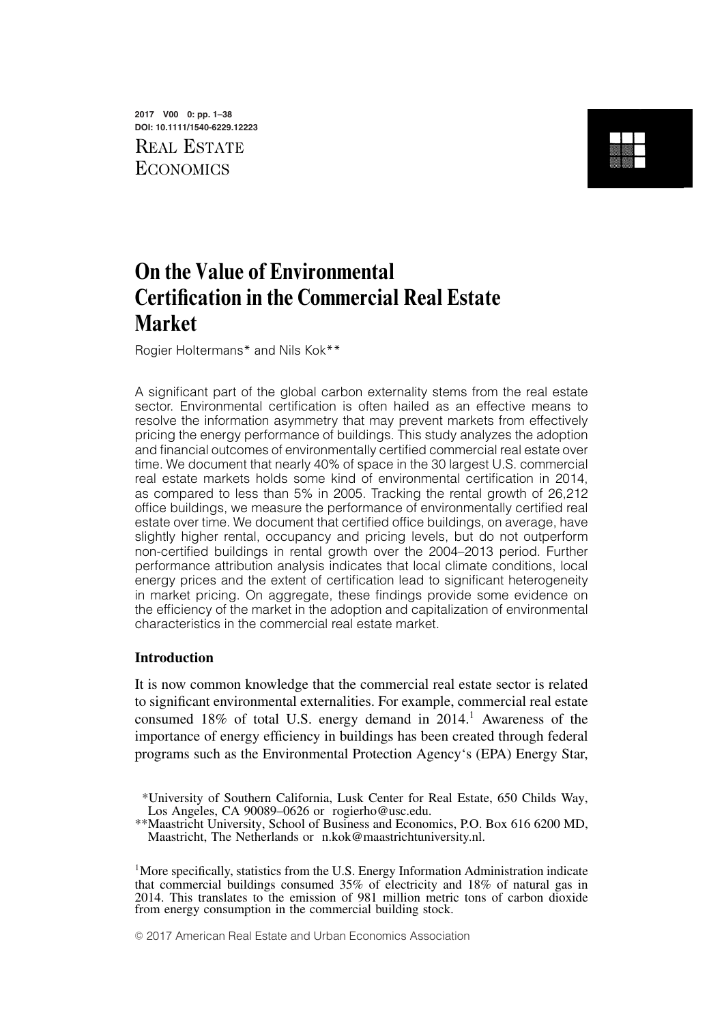**2017 V00 0: pp. 1–38 DOI: 10.1111/1540-6229.12223** REAL ESTATE **ECONOMICS** 



# **On the Value of Environmental Certification in the Commercial Real Estate Market**

Rogier Holtermans\* and Nils Kok\*\*

A significant part of the global carbon externality stems from the real estate sector. Environmental certification is often hailed as an effective means to resolve the information asymmetry that may prevent markets from effectively pricing the energy performance of buildings. This study analyzes the adoption and financial outcomes of environmentally certified commercial real estate over time. We document that nearly 40% of space in the 30 largest U.S. commercial real estate markets holds some kind of environmental certification in 2014, as compared to less than 5% in 2005. Tracking the rental growth of 26,212 office buildings, we measure the performance of environmentally certified real estate over time. We document that certified office buildings, on average, have slightly higher rental, occupancy and pricing levels, but do not outperform non-certified buildings in rental growth over the 2004–2013 period. Further performance attribution analysis indicates that local climate conditions, local energy prices and the extent of certification lead to significant heterogeneity in market pricing. On aggregate, these findings provide some evidence on the efficiency of the market in the adoption and capitalization of environmental characteristics in the commercial real estate market.

### **Introduction**

It is now common knowledge that the commercial real estate sector is related to significant environmental externalities. For example, commercial real estate consumed 18% of total U.S. energy demand in 2014.<sup>1</sup> Awareness of the importance of energy efficiency in buildings has been created through federal programs such as the Environmental Protection Agency's (EPA) Energy Star,

© 2017 American Real Estate and Urban Economics Association

<sup>\*</sup>University of Southern California, Lusk Center for Real Estate, 650 Childs Way, Los Angeles, CA 90089–0626 or rogierho@usc.edu.

<sup>\*\*</sup>Maastricht University, School of Business and Economics, P.O. Box 616 6200 MD, Maastricht, The Netherlands or n.kok@maastrichtuniversity.nl.

<sup>&</sup>lt;sup>1</sup>More specifically, statistics from the U.S. Energy Information Administration indicate that commercial buildings consumed 35% of electricity and 18% of natural gas in 2014. This translates to the emission of 981 million metric tons of carbon dioxide from energy consumption in the commercial building stock.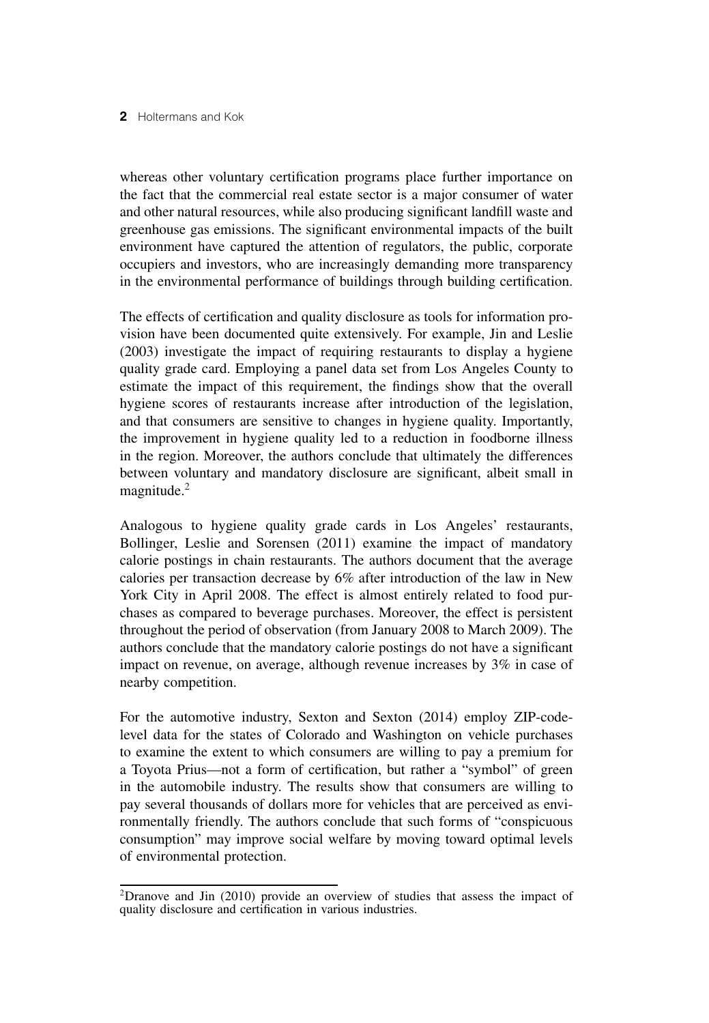whereas other voluntary certification programs place further importance on the fact that the commercial real estate sector is a major consumer of water and other natural resources, while also producing significant landfill waste and greenhouse gas emissions. The significant environmental impacts of the built environment have captured the attention of regulators, the public, corporate occupiers and investors, who are increasingly demanding more transparency in the environmental performance of buildings through building certification.

The effects of certification and quality disclosure as tools for information provision have been documented quite extensively. For example, Jin and Leslie (2003) investigate the impact of requiring restaurants to display a hygiene quality grade card. Employing a panel data set from Los Angeles County to estimate the impact of this requirement, the findings show that the overall hygiene scores of restaurants increase after introduction of the legislation, and that consumers are sensitive to changes in hygiene quality. Importantly, the improvement in hygiene quality led to a reduction in foodborne illness in the region. Moreover, the authors conclude that ultimately the differences between voluntary and mandatory disclosure are significant, albeit small in magnitude.<sup>2</sup>

Analogous to hygiene quality grade cards in Los Angeles' restaurants, Bollinger, Leslie and Sorensen (2011) examine the impact of mandatory calorie postings in chain restaurants. The authors document that the average calories per transaction decrease by 6% after introduction of the law in New York City in April 2008. The effect is almost entirely related to food purchases as compared to beverage purchases. Moreover, the effect is persistent throughout the period of observation (from January 2008 to March 2009). The authors conclude that the mandatory calorie postings do not have a significant impact on revenue, on average, although revenue increases by 3% in case of nearby competition.

For the automotive industry, Sexton and Sexton (2014) employ ZIP-codelevel data for the states of Colorado and Washington on vehicle purchases to examine the extent to which consumers are willing to pay a premium for a Toyota Prius—not a form of certification, but rather a "symbol" of green in the automobile industry. The results show that consumers are willing to pay several thousands of dollars more for vehicles that are perceived as environmentally friendly. The authors conclude that such forms of "conspicuous consumption" may improve social welfare by moving toward optimal levels of environmental protection.

<sup>2</sup>Dranove and Jin (2010) provide an overview of studies that assess the impact of quality disclosure and certification in various industries.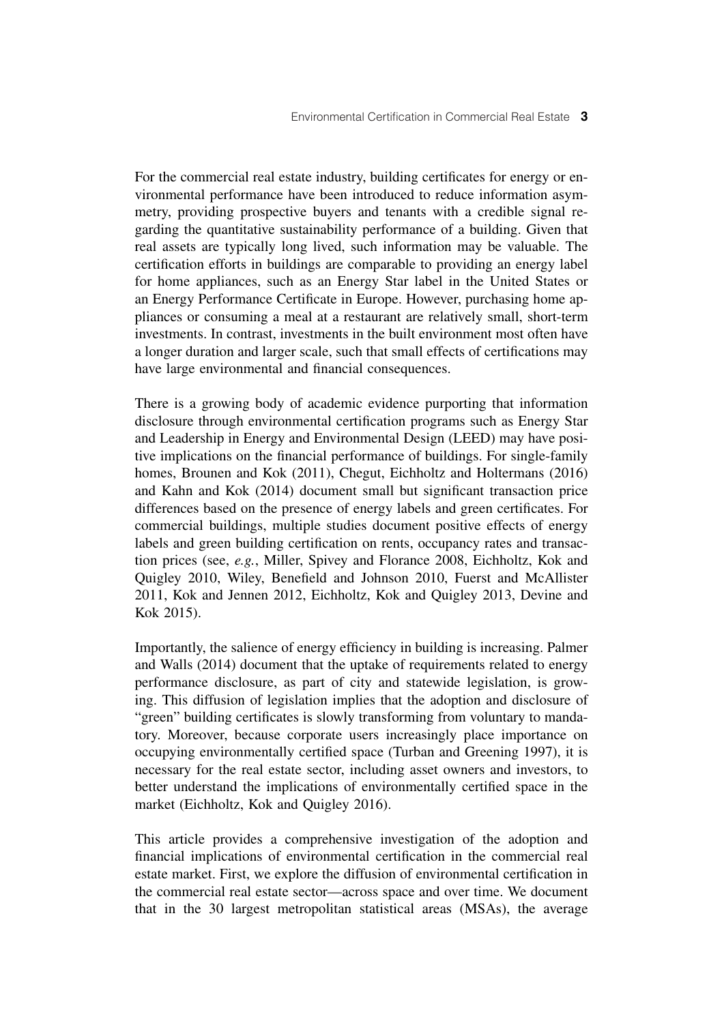For the commercial real estate industry, building certificates for energy or environmental performance have been introduced to reduce information asymmetry, providing prospective buyers and tenants with a credible signal regarding the quantitative sustainability performance of a building. Given that real assets are typically long lived, such information may be valuable. The certification efforts in buildings are comparable to providing an energy label for home appliances, such as an Energy Star label in the United States or an Energy Performance Certificate in Europe. However, purchasing home appliances or consuming a meal at a restaurant are relatively small, short-term investments. In contrast, investments in the built environment most often have a longer duration and larger scale, such that small effects of certifications may have large environmental and financial consequences.

There is a growing body of academic evidence purporting that information disclosure through environmental certification programs such as Energy Star and Leadership in Energy and Environmental Design (LEED) may have positive implications on the financial performance of buildings. For single-family homes, Brounen and Kok (2011), Chegut, Eichholtz and Holtermans (2016) and Kahn and Kok (2014) document small but significant transaction price differences based on the presence of energy labels and green certificates. For commercial buildings, multiple studies document positive effects of energy labels and green building certification on rents, occupancy rates and transaction prices (see, *e.g.*, Miller, Spivey and Florance 2008, Eichholtz, Kok and Quigley 2010, Wiley, Benefield and Johnson 2010, Fuerst and McAllister 2011, Kok and Jennen 2012, Eichholtz, Kok and Quigley 2013, Devine and Kok 2015).

Importantly, the salience of energy efficiency in building is increasing. Palmer and Walls (2014) document that the uptake of requirements related to energy performance disclosure, as part of city and statewide legislation, is growing. This diffusion of legislation implies that the adoption and disclosure of "green" building certificates is slowly transforming from voluntary to mandatory. Moreover, because corporate users increasingly place importance on occupying environmentally certified space (Turban and Greening 1997), it is necessary for the real estate sector, including asset owners and investors, to better understand the implications of environmentally certified space in the market (Eichholtz, Kok and Quigley 2016).

This article provides a comprehensive investigation of the adoption and financial implications of environmental certification in the commercial real estate market. First, we explore the diffusion of environmental certification in the commercial real estate sector—across space and over time. We document that in the 30 largest metropolitan statistical areas (MSAs), the average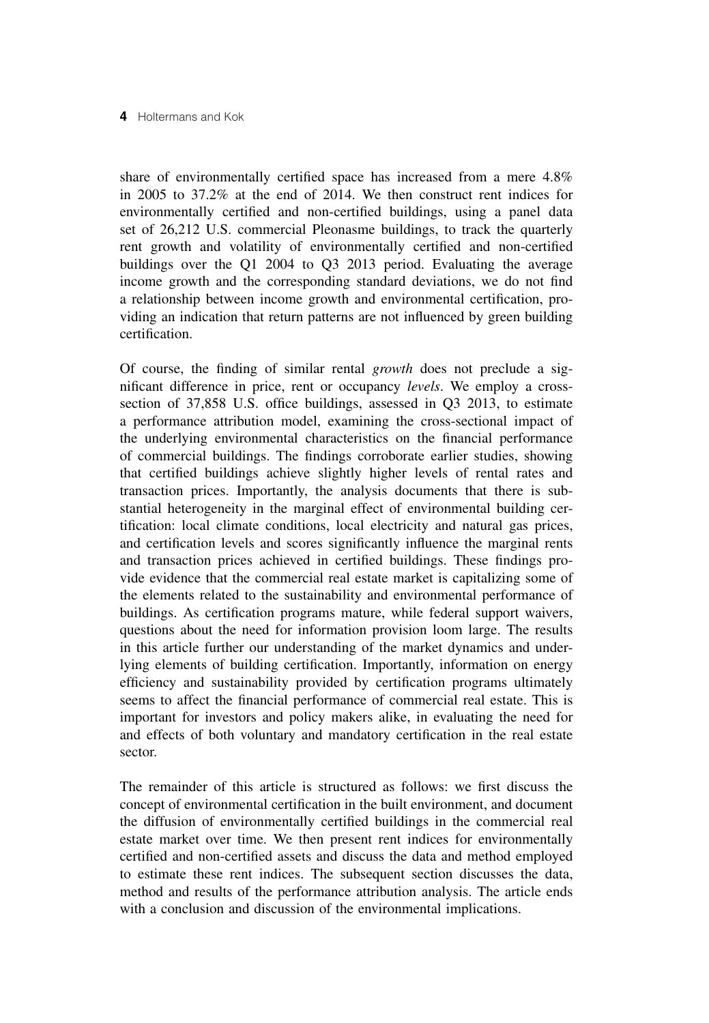share of environmentally certified space has increased from a mere 4.8% in 2005 to 37.2% at the end of 2014. We then construct rent indices for environmentally certified and non-certified buildings, using a panel data set of 26,212 U.S. commercial Pleonasme buildings, to track the quarterly rent growth and volatility of environmentally certified and non-certified buildings over the Q1 2004 to Q3 2013 period. Evaluating the average income growth and the corresponding standard deviations, we do not find a relationship between income growth and environmental certification, providing an indication that return patterns are not influenced by green building certification.

Of course, the finding of similar rental *growth* does not preclude a significant difference in price, rent or occupancy *levels*. We employ a crosssection of 37,858 U.S. office buildings, assessed in Q3 2013, to estimate a performance attribution model, examining the cross-sectional impact of the underlying environmental characteristics on the financial performance of commercial buildings. The findings corroborate earlier studies, showing that certified buildings achieve slightly higher levels of rental rates and transaction prices. Importantly, the analysis documents that there is substantial heterogeneity in the marginal effect of environmental building certification: local climate conditions, local electricity and natural gas prices, and certification levels and scores significantly influence the marginal rents and transaction prices achieved in certified buildings. These findings provide evidence that the commercial real estate market is capitalizing some of the elements related to the sustainability and environmental performance of buildings. As certification programs mature, while federal support waivers, questions about the need for information provision loom large. The results in this article further our understanding of the market dynamics and underlying elements of building certification. Importantly, information on energy efficiency and sustainability provided by certification programs ultimately seems to affect the financial performance of commercial real estate. This is important for investors and policy makers alike, in evaluating the need for and effects of both voluntary and mandatory certification in the real estate sector.

The remainder of this article is structured as follows: we first discuss the concept of environmental certification in the built environment, and document the diffusion of environmentally certified buildings in the commercial real estate market over time. We then present rent indices for environmentally certified and non-certified assets and discuss the data and method employed to estimate these rent indices. The subsequent section discusses the data, method and results of the performance attribution analysis. The article ends with a conclusion and discussion of the environmental implications.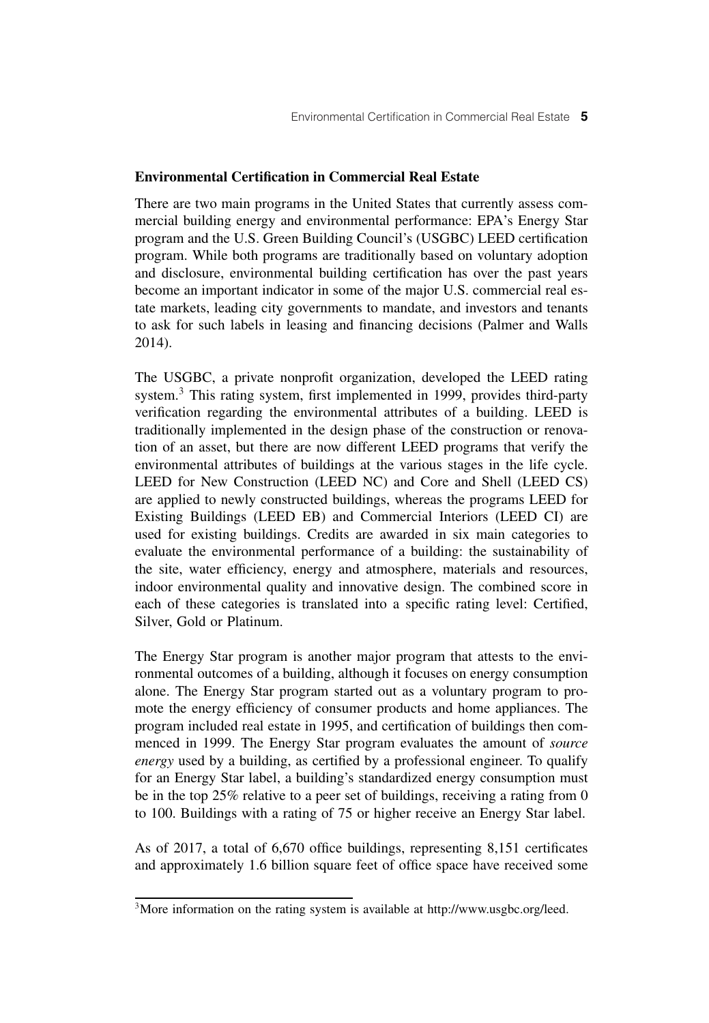# **Environmental Certification in Commercial Real Estate**

There are two main programs in the United States that currently assess commercial building energy and environmental performance: EPA's Energy Star program and the U.S. Green Building Council's (USGBC) LEED certification program. While both programs are traditionally based on voluntary adoption and disclosure, environmental building certification has over the past years become an important indicator in some of the major U.S. commercial real estate markets, leading city governments to mandate, and investors and tenants to ask for such labels in leasing and financing decisions (Palmer and Walls 2014).

The USGBC, a private nonprofit organization, developed the LEED rating system.<sup>3</sup> This rating system, first implemented in 1999, provides third-party verification regarding the environmental attributes of a building. LEED is traditionally implemented in the design phase of the construction or renovation of an asset, but there are now different LEED programs that verify the environmental attributes of buildings at the various stages in the life cycle. LEED for New Construction (LEED NC) and Core and Shell (LEED CS) are applied to newly constructed buildings, whereas the programs LEED for Existing Buildings (LEED EB) and Commercial Interiors (LEED CI) are used for existing buildings. Credits are awarded in six main categories to evaluate the environmental performance of a building: the sustainability of the site, water efficiency, energy and atmosphere, materials and resources, indoor environmental quality and innovative design. The combined score in each of these categories is translated into a specific rating level: Certified, Silver, Gold or Platinum.

The Energy Star program is another major program that attests to the environmental outcomes of a building, although it focuses on energy consumption alone. The Energy Star program started out as a voluntary program to promote the energy efficiency of consumer products and home appliances. The program included real estate in 1995, and certification of buildings then commenced in 1999. The Energy Star program evaluates the amount of *source energy* used by a building, as certified by a professional engineer. To qualify for an Energy Star label, a building's standardized energy consumption must be in the top 25% relative to a peer set of buildings, receiving a rating from 0 to 100. Buildings with a rating of 75 or higher receive an Energy Star label.

As of 2017, a total of 6,670 office buildings, representing 8,151 certificates and approximately 1.6 billion square feet of office space have received some

<sup>&</sup>lt;sup>3</sup>More information on the rating system is available at http://www.usgbc.org/leed.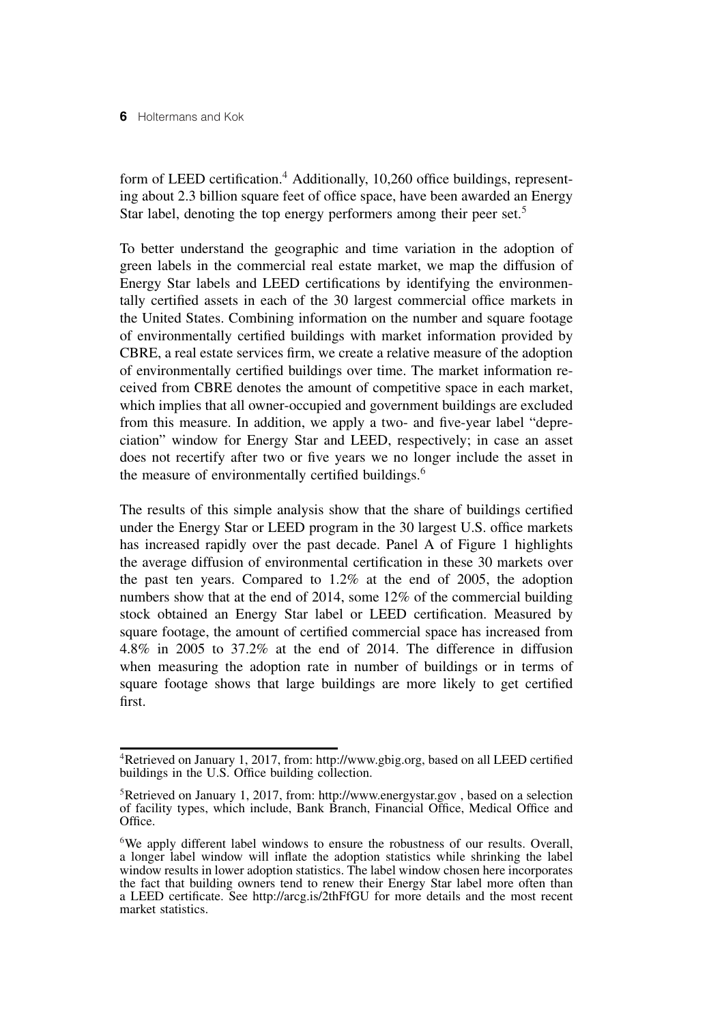form of LEED certification.<sup>4</sup> Additionally, 10,260 office buildings, representing about 2.3 billion square feet of office space, have been awarded an Energy Star label, denoting the top energy performers among their peer set.<sup>5</sup>

To better understand the geographic and time variation in the adoption of green labels in the commercial real estate market, we map the diffusion of Energy Star labels and LEED certifications by identifying the environmentally certified assets in each of the 30 largest commercial office markets in the United States. Combining information on the number and square footage of environmentally certified buildings with market information provided by CBRE, a real estate services firm, we create a relative measure of the adoption of environmentally certified buildings over time. The market information received from CBRE denotes the amount of competitive space in each market, which implies that all owner-occupied and government buildings are excluded from this measure. In addition, we apply a two- and five-year label "depreciation" window for Energy Star and LEED, respectively; in case an asset does not recertify after two or five years we no longer include the asset in the measure of environmentally certified buildings.<sup>6</sup>

The results of this simple analysis show that the share of buildings certified under the Energy Star or LEED program in the 30 largest U.S. office markets has increased rapidly over the past decade. Panel A of Figure 1 highlights the average diffusion of environmental certification in these 30 markets over the past ten years. Compared to 1.2% at the end of 2005, the adoption numbers show that at the end of 2014, some 12% of the commercial building stock obtained an Energy Star label or LEED certification. Measured by square footage, the amount of certified commercial space has increased from 4.8% in 2005 to 37.2% at the end of 2014. The difference in diffusion when measuring the adoption rate in number of buildings or in terms of square footage shows that large buildings are more likely to get certified first.

<sup>4</sup>Retrieved on January 1, 2017, from: http://www.gbig.org, based on all LEED certified buildings in the U.S. Office building collection.

<sup>&</sup>lt;sup>5</sup>Retrieved on January 1, 2017, from: http://www.energystar.gov, based on a selection of facility types, which include, Bank Branch, Financial Office, Medical Office and Office.

<sup>&</sup>lt;sup>6</sup>We apply different label windows to ensure the robustness of our results. Overall, a longer label window will inflate the adoption statistics while shrinking the label window results in lower adoption statistics. The label window chosen here incorporates the fact that building owners tend to renew their Energy Star label more often than a LEED certificate. See http://arcg.is/2thFfGU for more details and the most recent market statistics.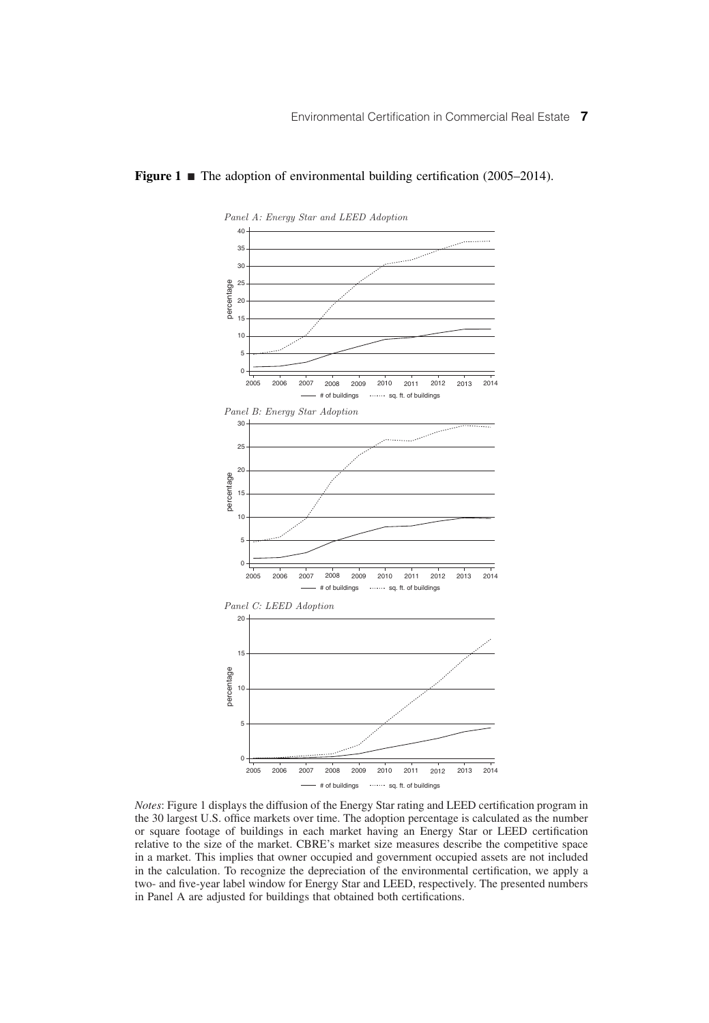### *Panel A: Energy Star and LEED Adoption*  $40$ للتنبي 35  $\alpha$ 25 percentage percentage 20 15 10 5  $\overline{0}$ 2005 2006 2007 2008 2009 2010 2011 2012 2013 2014 # of buildings state of the of buildings *Panel B: Energy Star Adoption* 30 25  $\overline{2}$ percentage percentage 15 10 5 0 2005 2006 2007 2008 2009 2010 2011 2012 2013 2014 # of buildings states sq. ft. of buildings *Panel C: LEED Adoption* 20 15 percentage percentage 10 5 0 2005 2006 2007 2008 2009 2010 2011 2012 2013 2014  $\begin{array}{ccc} \begin{array}{ccc} \text{...} & \text{...} & \text{...} & \text{...} \end{array} \end{array}$  sq. ft. of buildings

#### **Figure 1**  $\blacksquare$  The adoption of environmental building certification (2005–2014).

*Notes*: Figure 1 displays the diffusion of the Energy Star rating and LEED certification program in the 30 largest U.S. office markets over time. The adoption percentage is calculated as the number or square footage of buildings in each market having an Energy Star or LEED certification relative to the size of the market. CBRE's market size measures describe the competitive space in a market. This implies that owner occupied and government occupied assets are not included in the calculation. To recognize the depreciation of the environmental certification, we apply a two- and five-year label window for Energy Star and LEED, respectively. The presented numbers in Panel A are adjusted for buildings that obtained both certifications.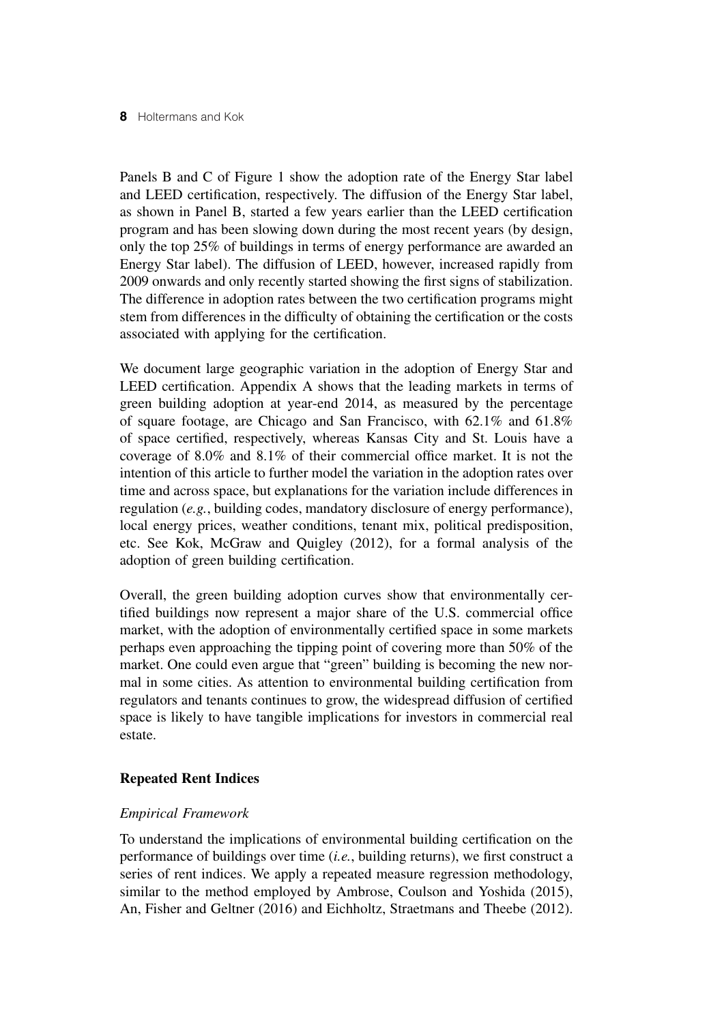Panels B and C of Figure 1 show the adoption rate of the Energy Star label and LEED certification, respectively. The diffusion of the Energy Star label, as shown in Panel B, started a few years earlier than the LEED certification program and has been slowing down during the most recent years (by design, only the top 25% of buildings in terms of energy performance are awarded an Energy Star label). The diffusion of LEED, however, increased rapidly from 2009 onwards and only recently started showing the first signs of stabilization. The difference in adoption rates between the two certification programs might stem from differences in the difficulty of obtaining the certification or the costs associated with applying for the certification.

We document large geographic variation in the adoption of Energy Star and LEED certification. Appendix A shows that the leading markets in terms of green building adoption at year-end 2014, as measured by the percentage of square footage, are Chicago and San Francisco, with 62.1% and 61.8% of space certified, respectively, whereas Kansas City and St. Louis have a coverage of 8.0% and 8.1% of their commercial office market. It is not the intention of this article to further model the variation in the adoption rates over time and across space, but explanations for the variation include differences in regulation (*e.g.*, building codes, mandatory disclosure of energy performance), local energy prices, weather conditions, tenant mix, political predisposition, etc. See Kok, McGraw and Quigley (2012), for a formal analysis of the adoption of green building certification.

Overall, the green building adoption curves show that environmentally certified buildings now represent a major share of the U.S. commercial office market, with the adoption of environmentally certified space in some markets perhaps even approaching the tipping point of covering more than 50% of the market. One could even argue that "green" building is becoming the new normal in some cities. As attention to environmental building certification from regulators and tenants continues to grow, the widespread diffusion of certified space is likely to have tangible implications for investors in commercial real estate.

# **Repeated Rent Indices**

# *Empirical Framework*

To understand the implications of environmental building certification on the performance of buildings over time (*i.e.*, building returns), we first construct a series of rent indices. We apply a repeated measure regression methodology, similar to the method employed by Ambrose, Coulson and Yoshida (2015), An, Fisher and Geltner (2016) and Eichholtz, Straetmans and Theebe (2012).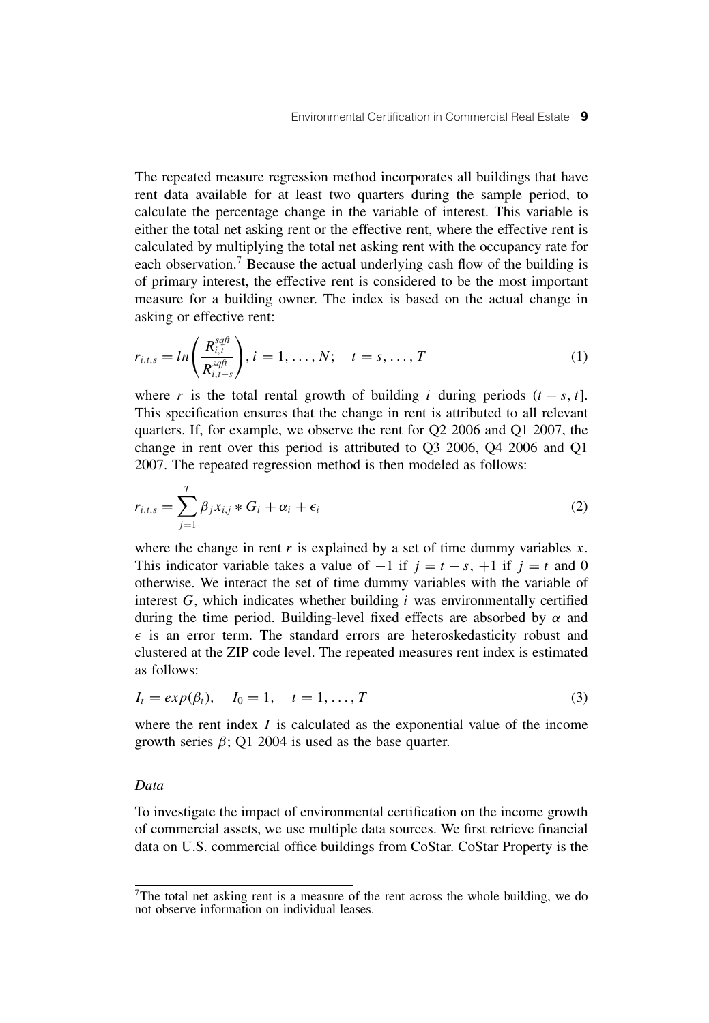The repeated measure regression method incorporates all buildings that have rent data available for at least two quarters during the sample period, to calculate the percentage change in the variable of interest. This variable is either the total net asking rent or the effective rent, where the effective rent is calculated by multiplying the total net asking rent with the occupancy rate for each observation.<sup>7</sup> Because the actual underlying cash flow of the building is of primary interest, the effective rent is considered to be the most important measure for a building owner. The index is based on the actual change in asking or effective rent:

$$
r_{i,t,s} = \ln\left(\frac{R_{i,t}^{sqft}}{R_{i,t-s}^{sqft}}\right), i = 1, \dots, N; \quad t = s, \dots, T
$$
 (1)

where *r* is the total rental growth of building *i* during periods  $(t - s, t]$ . This specification ensures that the change in rent is attributed to all relevant quarters. If, for example, we observe the rent for Q2 2006 and Q1 2007, the change in rent over this period is attributed to Q3 2006, Q4 2006 and Q1 2007. The repeated regression method is then modeled as follows:

$$
r_{i,t,s} = \sum_{j=1}^{T} \beta_j x_{i,j} * G_i + \alpha_i + \epsilon_i
$$
 (2)

where the change in rent  $r$  is explained by a set of time dummy variables  $x$ . This indicator variable takes a value of  $-1$  if  $j = t - s$ ,  $+1$  if  $j = t$  and 0 otherwise. We interact the set of time dummy variables with the variable of interest *G*, which indicates whether building *i* was environmentally certified during the time period. Building-level fixed effects are absorbed by  $\alpha$  and  $\epsilon$  is an error term. The standard errors are heteroskedasticity robust and clustered at the ZIP code level. The repeated measures rent index is estimated as follows:

$$
I_t = exp(\beta_t), \quad I_0 = 1, \quad t = 1, \dots, T
$$
\n
$$
(3)
$$

where the rent index *I* is calculated as the exponential value of the income growth series  $\beta$ ; Q1 2004 is used as the base quarter.

### *Data*

To investigate the impact of environmental certification on the income growth of commercial assets, we use multiple data sources. We first retrieve financial data on U.S. commercial office buildings from CoStar. CoStar Property is the

<sup>7</sup>The total net asking rent is a measure of the rent across the whole building, we do not observe information on individual leases.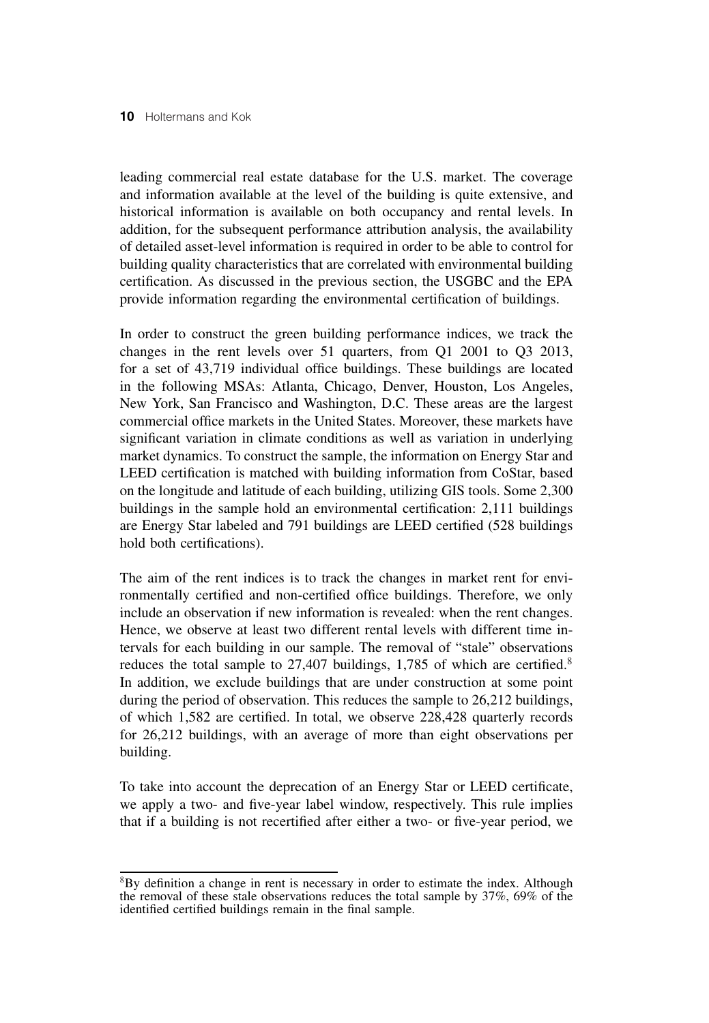leading commercial real estate database for the U.S. market. The coverage and information available at the level of the building is quite extensive, and historical information is available on both occupancy and rental levels. In addition, for the subsequent performance attribution analysis, the availability of detailed asset-level information is required in order to be able to control for building quality characteristics that are correlated with environmental building certification. As discussed in the previous section, the USGBC and the EPA provide information regarding the environmental certification of buildings.

In order to construct the green building performance indices, we track the changes in the rent levels over 51 quarters, from Q1 2001 to Q3 2013, for a set of 43,719 individual office buildings. These buildings are located in the following MSAs: Atlanta, Chicago, Denver, Houston, Los Angeles, New York, San Francisco and Washington, D.C. These areas are the largest commercial office markets in the United States. Moreover, these markets have significant variation in climate conditions as well as variation in underlying market dynamics. To construct the sample, the information on Energy Star and LEED certification is matched with building information from CoStar, based on the longitude and latitude of each building, utilizing GIS tools. Some 2,300 buildings in the sample hold an environmental certification: 2,111 buildings are Energy Star labeled and 791 buildings are LEED certified (528 buildings hold both certifications).

The aim of the rent indices is to track the changes in market rent for environmentally certified and non-certified office buildings. Therefore, we only include an observation if new information is revealed: when the rent changes. Hence, we observe at least two different rental levels with different time intervals for each building in our sample. The removal of "stale" observations reduces the total sample to 27,407 buildings, 1,785 of which are certified.<sup>8</sup> In addition, we exclude buildings that are under construction at some point during the period of observation. This reduces the sample to 26,212 buildings, of which 1,582 are certified. In total, we observe 228,428 quarterly records for 26,212 buildings, with an average of more than eight observations per building.

To take into account the deprecation of an Energy Star or LEED certificate, we apply a two- and five-year label window, respectively. This rule implies that if a building is not recertified after either a two- or five-year period, we

<sup>8</sup>By definition a change in rent is necessary in order to estimate the index. Although the removal of these stale observations reduces the total sample by 37%, 69% of the identified certified buildings remain in the final sample.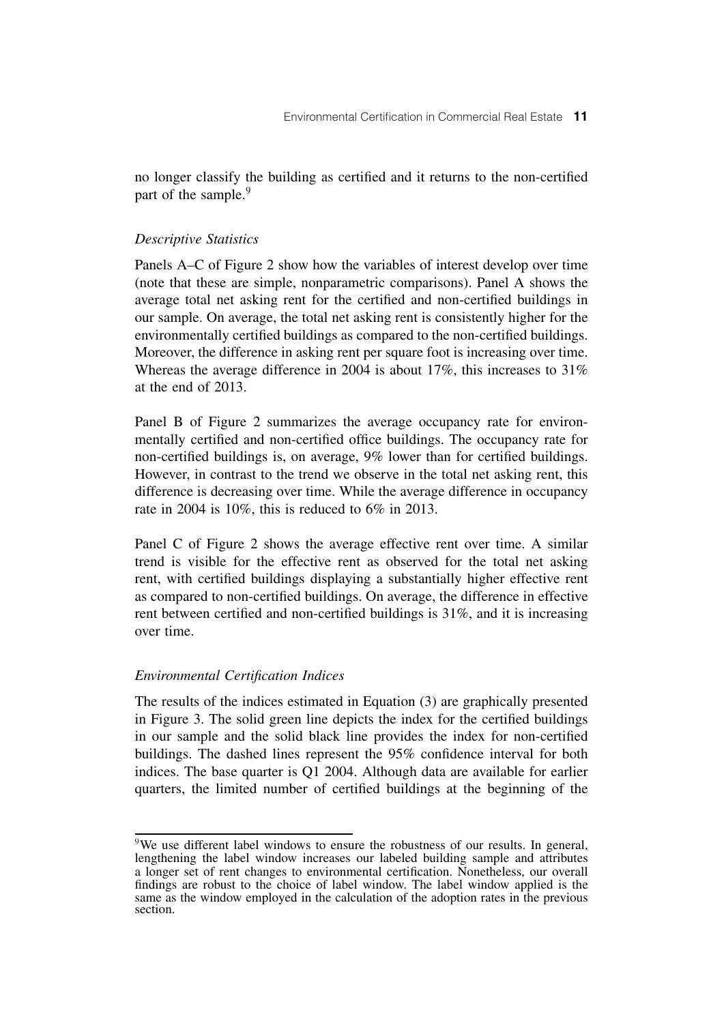no longer classify the building as certified and it returns to the non-certified part of the sample.<sup>9</sup>

### *Descriptive Statistics*

Panels A–C of Figure 2 show how the variables of interest develop over time (note that these are simple, nonparametric comparisons). Panel A shows the average total net asking rent for the certified and non-certified buildings in our sample. On average, the total net asking rent is consistently higher for the environmentally certified buildings as compared to the non-certified buildings. Moreover, the difference in asking rent per square foot is increasing over time. Whereas the average difference in 2004 is about 17%, this increases to 31% at the end of 2013.

Panel B of Figure 2 summarizes the average occupancy rate for environmentally certified and non-certified office buildings. The occupancy rate for non-certified buildings is, on average, 9% lower than for certified buildings. However, in contrast to the trend we observe in the total net asking rent, this difference is decreasing over time. While the average difference in occupancy rate in 2004 is 10%, this is reduced to 6% in 2013.

Panel C of Figure 2 shows the average effective rent over time. A similar trend is visible for the effective rent as observed for the total net asking rent, with certified buildings displaying a substantially higher effective rent as compared to non-certified buildings. On average, the difference in effective rent between certified and non-certified buildings is 31%, and it is increasing over time.

# *Environmental Certification Indices*

The results of the indices estimated in Equation (3) are graphically presented in Figure 3. The solid green line depicts the index for the certified buildings in our sample and the solid black line provides the index for non-certified buildings. The dashed lines represent the 95% confidence interval for both indices. The base quarter is Q1 2004. Although data are available for earlier quarters, the limited number of certified buildings at the beginning of the

<sup>&</sup>lt;sup>9</sup>We use different label windows to ensure the robustness of our results. In general, lengthening the label window increases our labeled building sample and attributes a longer set of rent changes to environmental certification. Nonetheless, our overall findings are robust to the choice of label window. The label window applied is the same as the window employed in the calculation of the adoption rates in the previous section.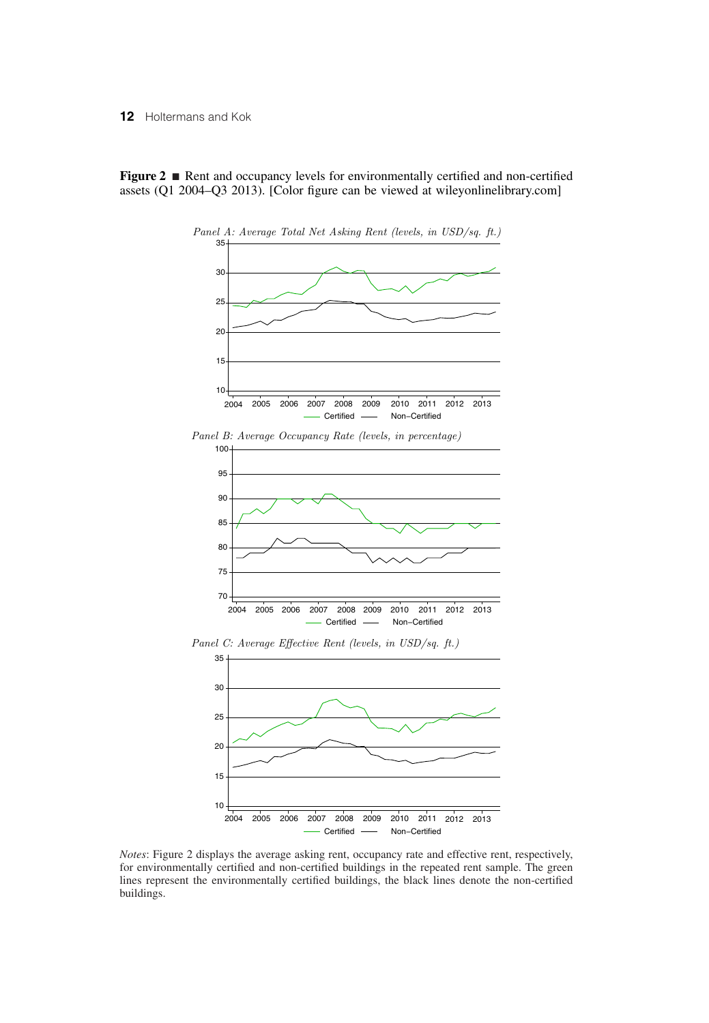**Figure 2** ■ Rent and occupancy levels for environmentally certified and non-certified assets (Q1 2004–Q3 2013). [Color figure can be viewed at wileyonlinelibrary.com]



*Panel B: Average Occupancy Rate (levels, in percentage)*



*Panel C: Average Effective Rent (levels, in USD/sq. ft.)*



*Notes*: Figure 2 displays the average asking rent, occupancy rate and effective rent, respectively, for environmentally certified and non-certified buildings in the repeated rent sample. The green lines represent the environmentally certified buildings, the black lines denote the non-certified buildings.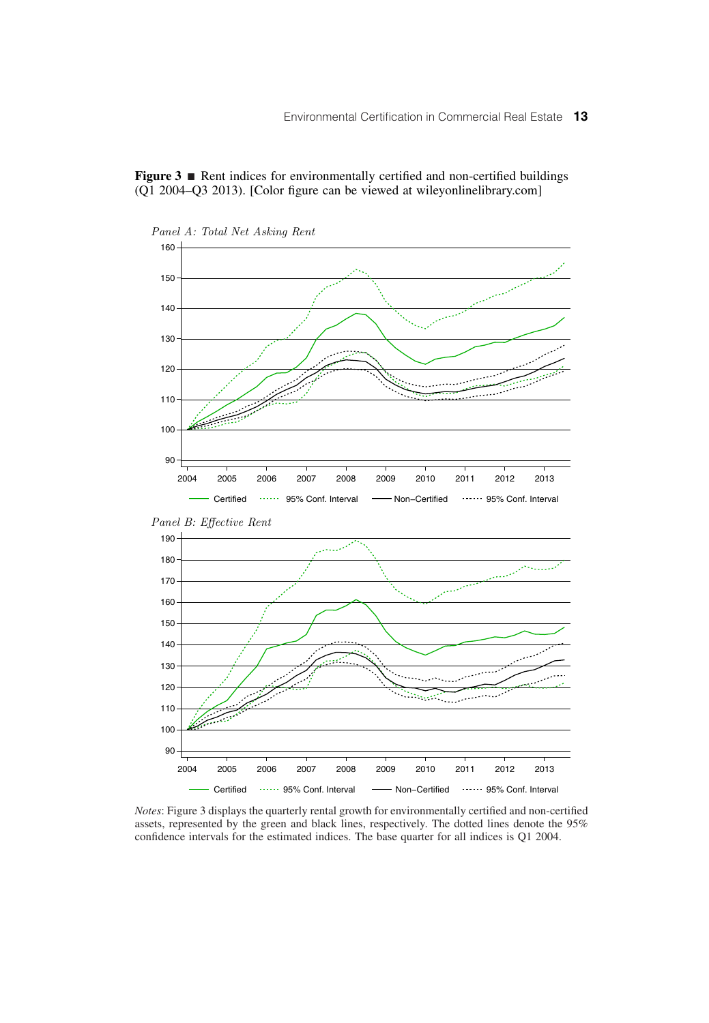



*Notes*: Figure 3 displays the quarterly rental growth for environmentally certified and non-certified assets, represented by the green and black lines, respectively. The dotted lines denote the 95% confidence intervals for the estimated indices. The base quarter for all indices is Q1 2004.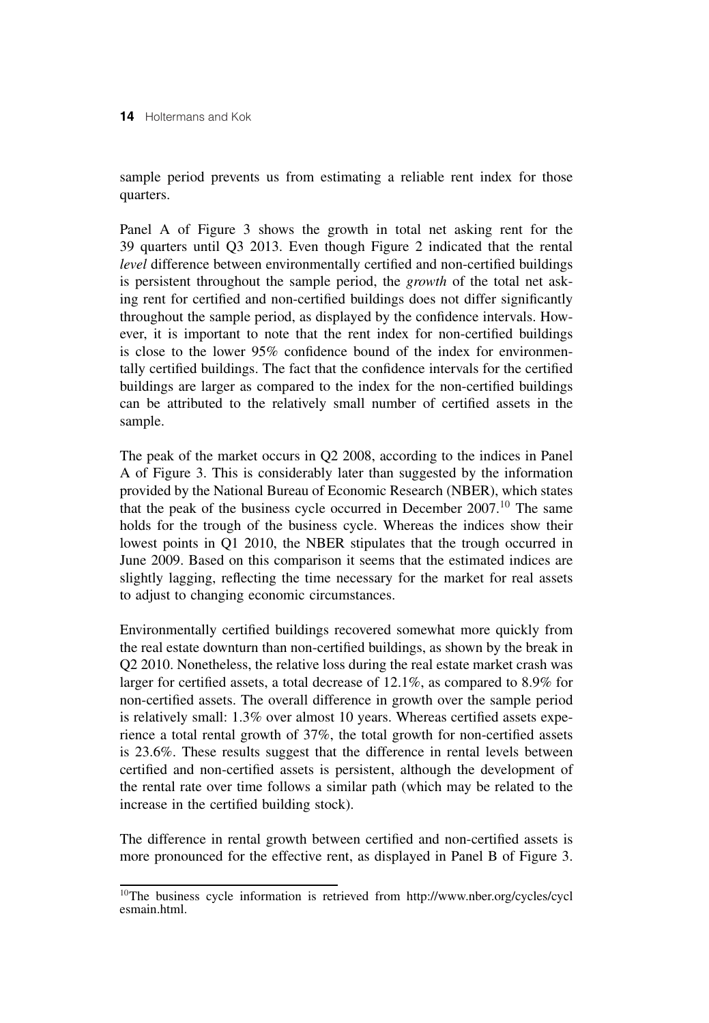sample period prevents us from estimating a reliable rent index for those quarters.

Panel A of Figure 3 shows the growth in total net asking rent for the 39 quarters until Q3 2013. Even though Figure 2 indicated that the rental *level* difference between environmentally certified and non-certified buildings is persistent throughout the sample period, the *growth* of the total net asking rent for certified and non-certified buildings does not differ significantly throughout the sample period, as displayed by the confidence intervals. However, it is important to note that the rent index for non-certified buildings is close to the lower 95% confidence bound of the index for environmentally certified buildings. The fact that the confidence intervals for the certified buildings are larger as compared to the index for the non-certified buildings can be attributed to the relatively small number of certified assets in the sample.

The peak of the market occurs in Q2 2008, according to the indices in Panel A of Figure 3. This is considerably later than suggested by the information provided by the National Bureau of Economic Research (NBER), which states that the peak of the business cycle occurred in December 2007.<sup>10</sup> The same holds for the trough of the business cycle. Whereas the indices show their lowest points in Q1 2010, the NBER stipulates that the trough occurred in June 2009. Based on this comparison it seems that the estimated indices are slightly lagging, reflecting the time necessary for the market for real assets to adjust to changing economic circumstances.

Environmentally certified buildings recovered somewhat more quickly from the real estate downturn than non-certified buildings, as shown by the break in Q2 2010. Nonetheless, the relative loss during the real estate market crash was larger for certified assets, a total decrease of 12.1%, as compared to 8.9% for non-certified assets. The overall difference in growth over the sample period is relatively small: 1.3% over almost 10 years. Whereas certified assets experience a total rental growth of 37%, the total growth for non-certified assets is 23.6%. These results suggest that the difference in rental levels between certified and non-certified assets is persistent, although the development of the rental rate over time follows a similar path (which may be related to the increase in the certified building stock).

The difference in rental growth between certified and non-certified assets is more pronounced for the effective rent, as displayed in Panel B of Figure 3.

<sup>10</sup>The business cycle information is retrieved from http://www.nber.org/cycles/cycl esmain.html.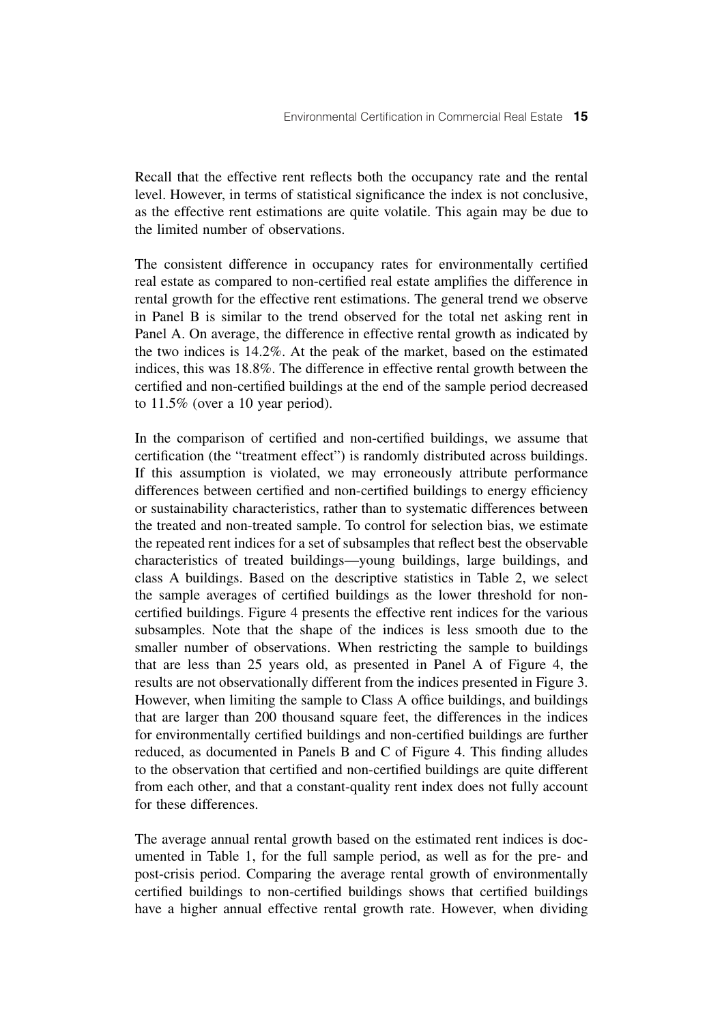Recall that the effective rent reflects both the occupancy rate and the rental level. However, in terms of statistical significance the index is not conclusive, as the effective rent estimations are quite volatile. This again may be due to the limited number of observations.

The consistent difference in occupancy rates for environmentally certified real estate as compared to non-certified real estate amplifies the difference in rental growth for the effective rent estimations. The general trend we observe in Panel B is similar to the trend observed for the total net asking rent in Panel A. On average, the difference in effective rental growth as indicated by the two indices is 14.2%. At the peak of the market, based on the estimated indices, this was 18.8%. The difference in effective rental growth between the certified and non-certified buildings at the end of the sample period decreased to 11.5% (over a 10 year period).

In the comparison of certified and non-certified buildings, we assume that certification (the "treatment effect") is randomly distributed across buildings. If this assumption is violated, we may erroneously attribute performance differences between certified and non-certified buildings to energy efficiency or sustainability characteristics, rather than to systematic differences between the treated and non-treated sample. To control for selection bias, we estimate the repeated rent indices for a set of subsamples that reflect best the observable characteristics of treated buildings—young buildings, large buildings, and class A buildings. Based on the descriptive statistics in Table 2, we select the sample averages of certified buildings as the lower threshold for noncertified buildings. Figure 4 presents the effective rent indices for the various subsamples. Note that the shape of the indices is less smooth due to the smaller number of observations. When restricting the sample to buildings that are less than 25 years old, as presented in Panel A of Figure 4, the results are not observationally different from the indices presented in Figure 3. However, when limiting the sample to Class A office buildings, and buildings that are larger than 200 thousand square feet, the differences in the indices for environmentally certified buildings and non-certified buildings are further reduced, as documented in Panels B and C of Figure 4. This finding alludes to the observation that certified and non-certified buildings are quite different from each other, and that a constant-quality rent index does not fully account for these differences.

The average annual rental growth based on the estimated rent indices is documented in Table 1, for the full sample period, as well as for the pre- and post-crisis period. Comparing the average rental growth of environmentally certified buildings to non-certified buildings shows that certified buildings have a higher annual effective rental growth rate. However, when dividing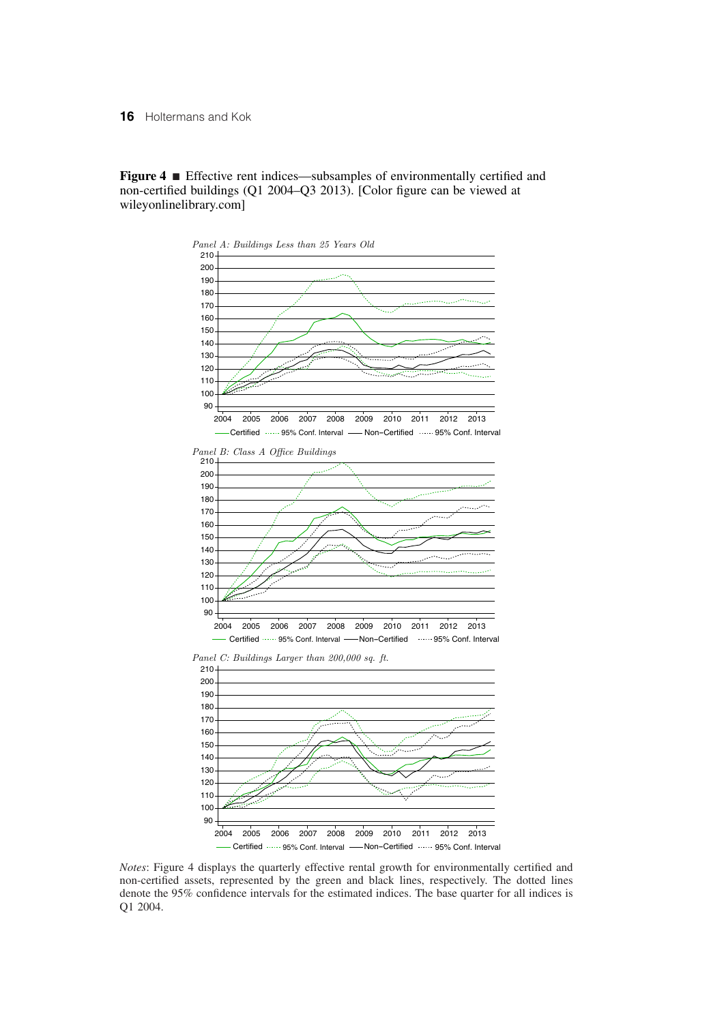**Figure 4** ■ Effective rent indices—subsamples of environmentally certified and non-certified buildings (Q1 2004–Q3 2013). [Color figure can be viewed at wileyonlinelibrary.com]



*Notes*: Figure 4 displays the quarterly effective rental growth for environmentally certified and non-certified assets, represented by the green and black lines, respectively. The dotted lines denote the 95% confidence intervals for the estimated indices. The base quarter for all indices is Q1 2004.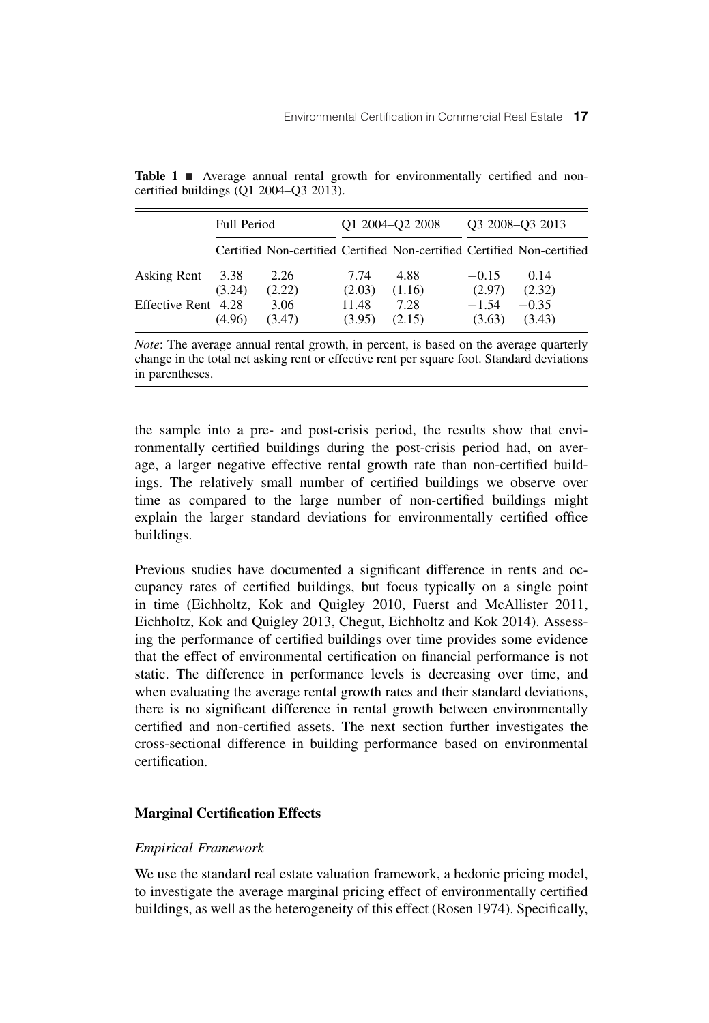|                     | <b>Full Period</b> |                                                                         |                 | O1 2004-O2 2008 | O <sub>3</sub> 2008–O <sub>3</sub> 2013 |                   |  |
|---------------------|--------------------|-------------------------------------------------------------------------|-----------------|-----------------|-----------------------------------------|-------------------|--|
|                     |                    | Certified Non-certified Certified Non-certified Certified Non-certified |                 |                 |                                         |                   |  |
| Asking Rent         | 3.38<br>(3.24)     | 2.26<br>(2.22)                                                          | 7.74<br>(2.03)  | 4.88<br>(1.16)  | $-0.15$<br>(2.97)                       | 0.14<br>(2.32)    |  |
| Effective Rent 4.28 | (4.96)             | 3.06<br>(3.47)                                                          | 11.48<br>(3.95) | 7.28<br>(2.15)  | $-1.54$<br>(3.63)                       | $-0.35$<br>(3.43) |  |

Table 1 **E** Average annual rental growth for environmentally certified and noncertified buildings (Q1 2004–Q3 2013).

*Note*: The average annual rental growth, in percent, is based on the average quarterly change in the total net asking rent or effective rent per square foot. Standard deviations in parentheses.

the sample into a pre- and post-crisis period, the results show that environmentally certified buildings during the post-crisis period had, on average, a larger negative effective rental growth rate than non-certified buildings. The relatively small number of certified buildings we observe over time as compared to the large number of non-certified buildings might explain the larger standard deviations for environmentally certified office buildings.

Previous studies have documented a significant difference in rents and occupancy rates of certified buildings, but focus typically on a single point in time (Eichholtz, Kok and Quigley 2010, Fuerst and McAllister 2011, Eichholtz, Kok and Quigley 2013, Chegut, Eichholtz and Kok 2014). Assessing the performance of certified buildings over time provides some evidence that the effect of environmental certification on financial performance is not static. The difference in performance levels is decreasing over time, and when evaluating the average rental growth rates and their standard deviations, there is no significant difference in rental growth between environmentally certified and non-certified assets. The next section further investigates the cross-sectional difference in building performance based on environmental certification.

# **Marginal Certification Effects**

# *Empirical Framework*

We use the standard real estate valuation framework, a hedonic pricing model, to investigate the average marginal pricing effect of environmentally certified buildings, as well as the heterogeneity of this effect (Rosen 1974). Specifically,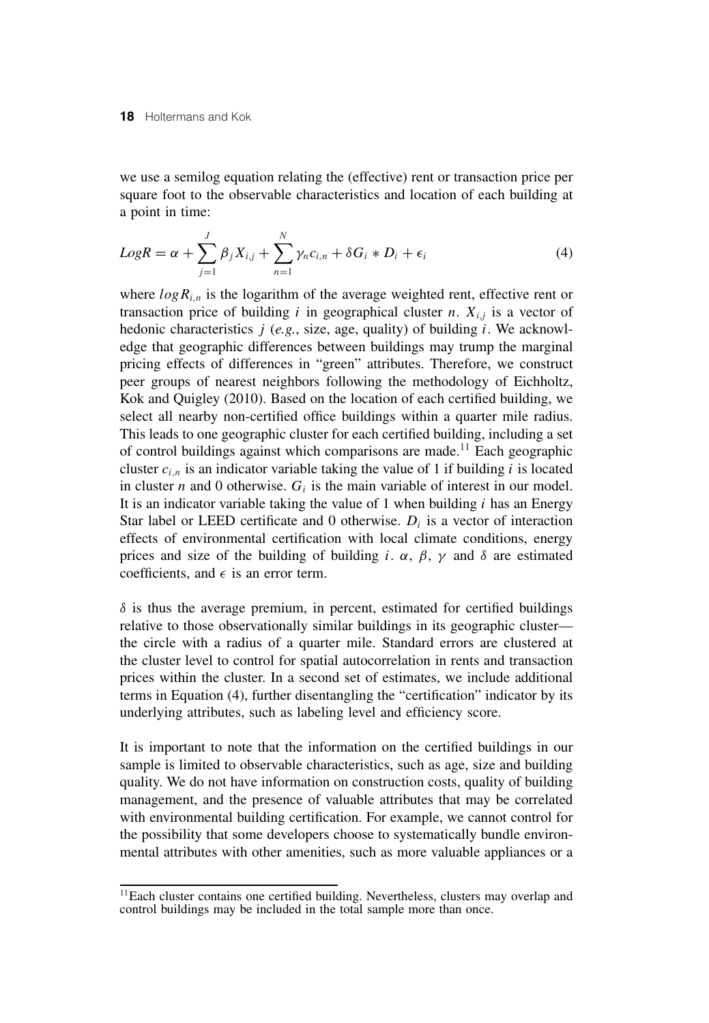we use a semilog equation relating the (effective) rent or transaction price per square foot to the observable characteristics and location of each building at a point in time:

$$
LogR = \alpha + \sum_{j=1}^{J} \beta_j X_{i,j} + \sum_{n=1}^{N} \gamma_n c_{i,n} + \delta G_i * D_i + \epsilon_i
$$
\n(4)

where  $log R_{i,n}$  is the logarithm of the average weighted rent, effective rent or transaction price of building  $i$  in geographical cluster  $n$ .  $X_{i,j}$  is a vector of hedonic characteristics *j* (*e.g.*, size, age, quality) of building *i*. We acknowledge that geographic differences between buildings may trump the marginal pricing effects of differences in "green" attributes. Therefore, we construct peer groups of nearest neighbors following the methodology of Eichholtz, Kok and Quigley (2010). Based on the location of each certified building, we select all nearby non-certified office buildings within a quarter mile radius. This leads to one geographic cluster for each certified building, including a set of control buildings against which comparisons are made.<sup>11</sup> Each geographic cluster  $c_{i,n}$  is an indicator variable taking the value of 1 if building  $i$  is located in cluster *n* and 0 otherwise.  $G_i$  is the main variable of interest in our model. It is an indicator variable taking the value of 1 when building *i* has an Energy Star label or LEED certificate and 0 otherwise.  $D_i$  is a vector of interaction effects of environmental certification with local climate conditions, energy prices and size of the building of building *i*.  $\alpha$ ,  $\beta$ ,  $\gamma$  and  $\delta$  are estimated coefficients, and  $\epsilon$  is an error term.

 $\delta$  is thus the average premium, in percent, estimated for certified buildings relative to those observationally similar buildings in its geographic cluster the circle with a radius of a quarter mile. Standard errors are clustered at the cluster level to control for spatial autocorrelation in rents and transaction prices within the cluster. In a second set of estimates, we include additional terms in Equation (4), further disentangling the "certification" indicator by its underlying attributes, such as labeling level and efficiency score.

It is important to note that the information on the certified buildings in our sample is limited to observable characteristics, such as age, size and building quality. We do not have information on construction costs, quality of building management, and the presence of valuable attributes that may be correlated with environmental building certification. For example, we cannot control for the possibility that some developers choose to systematically bundle environmental attributes with other amenities, such as more valuable appliances or a

<sup>&</sup>lt;sup>11</sup>Each cluster contains one certified building. Nevertheless, clusters may overlap and control buildings may be included in the total sample more than once.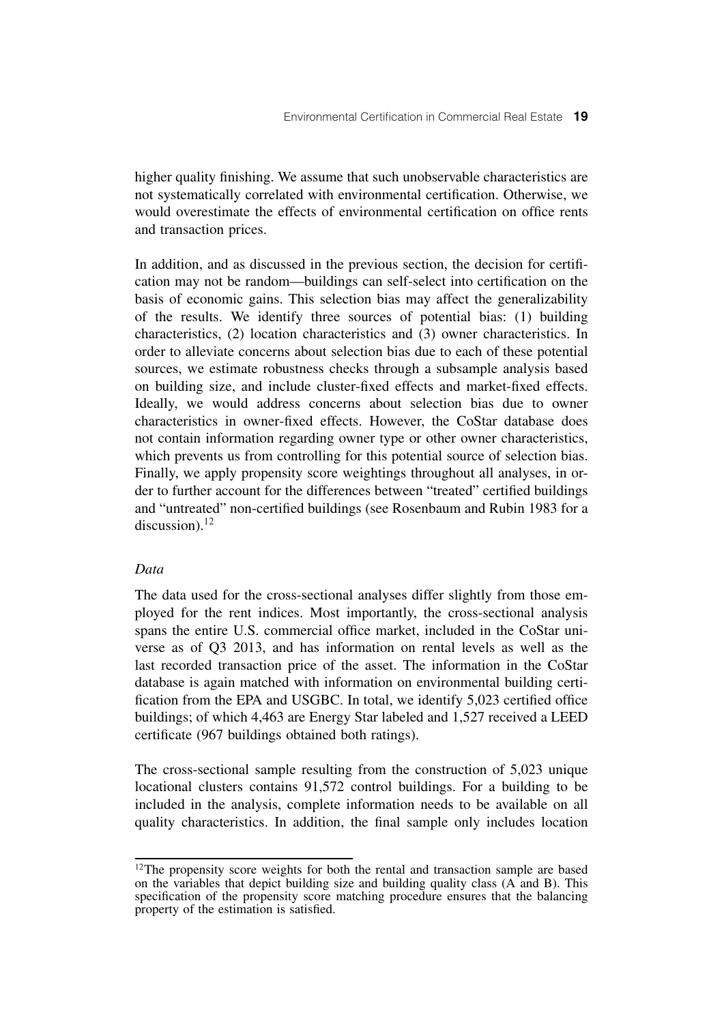higher quality finishing. We assume that such unobservable characteristics are not systematically correlated with environmental certification. Otherwise, we would overestimate the effects of environmental certification on office rents and transaction prices.

In addition, and as discussed in the previous section, the decision for certification may not be random—buildings can self-select into certification on the basis of economic gains. This selection bias may affect the generalizability of the results. We identify three sources of potential bias: (1) building characteristics, (2) location characteristics and (3) owner characteristics. In order to alleviate concerns about selection bias due to each of these potential sources, we estimate robustness checks through a subsample analysis based on building size, and include cluster-fixed effects and market-fixed effects. Ideally, we would address concerns about selection bias due to owner characteristics in owner-fixed effects. However, the CoStar database does not contain information regarding owner type or other owner characteristics, which prevents us from controlling for this potential source of selection bias. Finally, we apply propensity score weightings throughout all analyses, in order to further account for the differences between "treated" certified buildings and "untreated" non-certified buildings (see Rosenbaum and Rubin 1983 for a discussion). $12$ 

### *Data*

The data used for the cross-sectional analyses differ slightly from those employed for the rent indices. Most importantly, the cross-sectional analysis spans the entire U.S. commercial office market, included in the CoStar universe as of Q3 2013, and has information on rental levels as well as the last recorded transaction price of the asset. The information in the CoStar database is again matched with information on environmental building certification from the EPA and USGBC. In total, we identify 5,023 certified office buildings; of which 4,463 are Energy Star labeled and 1,527 received a LEED certificate (967 buildings obtained both ratings).

The cross-sectional sample resulting from the construction of 5,023 unique locational clusters contains 91,572 control buildings. For a building to be included in the analysis, complete information needs to be available on all quality characteristics. In addition, the final sample only includes location

<sup>&</sup>lt;sup>12</sup>The propensity score weights for both the rental and transaction sample are based on the variables that depict building size and building quality class (A and B). This specification of the propensity score matching procedure ensures that the balancing property of the estimation is satisfied.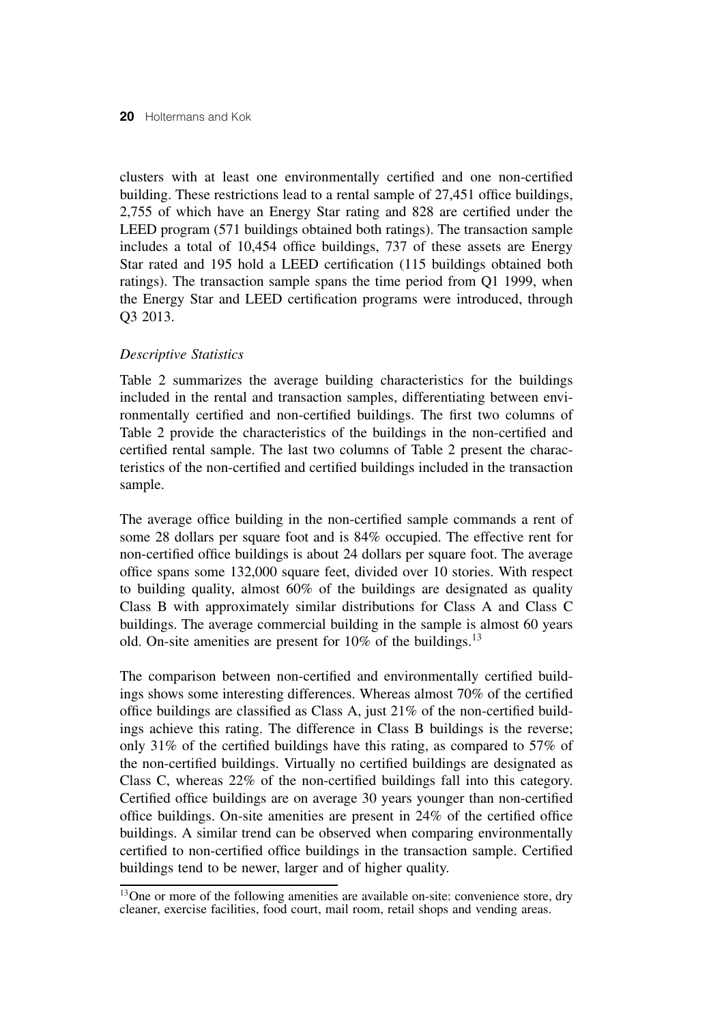clusters with at least one environmentally certified and one non-certified building. These restrictions lead to a rental sample of 27,451 office buildings, 2,755 of which have an Energy Star rating and 828 are certified under the LEED program (571 buildings obtained both ratings). The transaction sample includes a total of 10,454 office buildings, 737 of these assets are Energy Star rated and 195 hold a LEED certification (115 buildings obtained both ratings). The transaction sample spans the time period from Q1 1999, when the Energy Star and LEED certification programs were introduced, through Q3 2013.

### *Descriptive Statistics*

Table 2 summarizes the average building characteristics for the buildings included in the rental and transaction samples, differentiating between environmentally certified and non-certified buildings. The first two columns of Table 2 provide the characteristics of the buildings in the non-certified and certified rental sample. The last two columns of Table 2 present the characteristics of the non-certified and certified buildings included in the transaction sample.

The average office building in the non-certified sample commands a rent of some 28 dollars per square foot and is 84% occupied. The effective rent for non-certified office buildings is about 24 dollars per square foot. The average office spans some 132,000 square feet, divided over 10 stories. With respect to building quality, almost 60% of the buildings are designated as quality Class B with approximately similar distributions for Class A and Class C buildings. The average commercial building in the sample is almost 60 years old. On-site amenities are present for  $10\%$  of the buildings.<sup>13</sup>

The comparison between non-certified and environmentally certified buildings shows some interesting differences. Whereas almost 70% of the certified office buildings are classified as Class A, just 21% of the non-certified buildings achieve this rating. The difference in Class B buildings is the reverse; only 31% of the certified buildings have this rating, as compared to 57% of the non-certified buildings. Virtually no certified buildings are designated as Class C, whereas 22% of the non-certified buildings fall into this category. Certified office buildings are on average 30 years younger than non-certified office buildings. On-site amenities are present in 24% of the certified office buildings. A similar trend can be observed when comparing environmentally certified to non-certified office buildings in the transaction sample. Certified buildings tend to be newer, larger and of higher quality.

<sup>&</sup>lt;sup>13</sup>One or more of the following amenities are available on-site: convenience store, dry cleaner, exercise facilities, food court, mail room, retail shops and vending areas.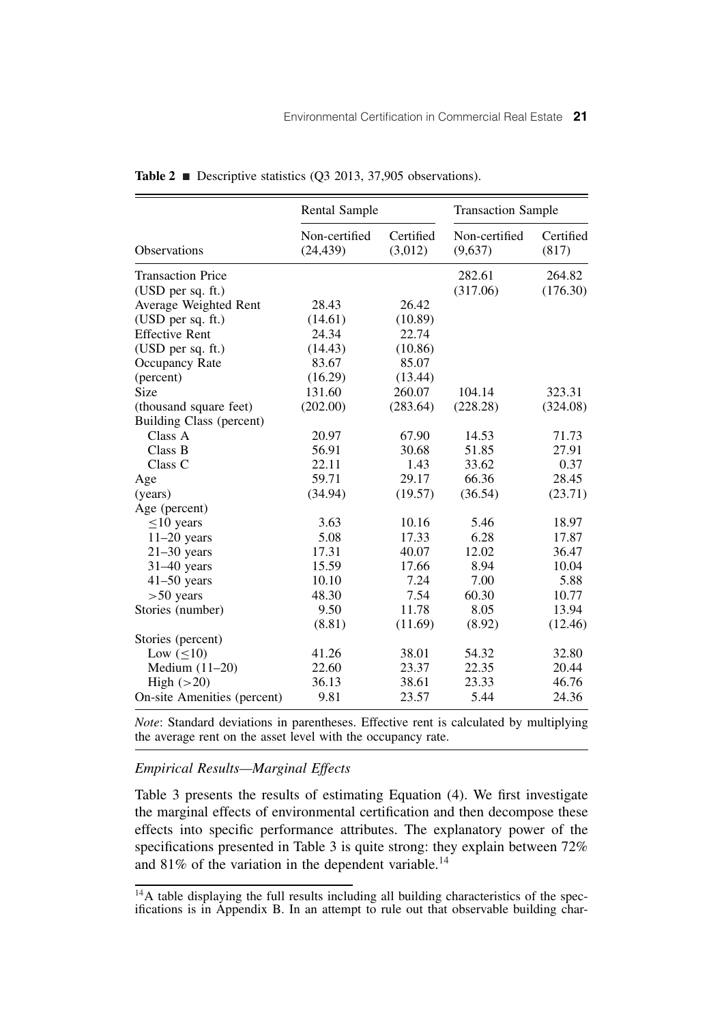|                             | <b>Rental Sample</b>       |                      | <b>Transaction Sample</b> |                    |  |
|-----------------------------|----------------------------|----------------------|---------------------------|--------------------|--|
| <b>Observations</b>         | Non-certified<br>(24, 439) | Certified<br>(3,012) | Non-certified<br>(9,637)  | Certified<br>(817) |  |
| <b>Transaction Price</b>    |                            |                      | 282.61                    | 264.82             |  |
| (USD per sq. ft.)           |                            |                      | (317.06)                  | (176.30)           |  |
| Average Weighted Rent       | 28.43                      | 26.42                |                           |                    |  |
| (USD per sq. ft.)           | (14.61)                    | (10.89)              |                           |                    |  |
| <b>Effective Rent</b>       | 24.34                      | 22.74                |                           |                    |  |
| (USD per sq. ft.)           | (14.43)                    | (10.86)              |                           |                    |  |
| Occupancy Rate              | 83.67                      | 85.07                |                           |                    |  |
| (percent)                   | (16.29)                    | (13.44)              |                           |                    |  |
| Size                        | 131.60                     | 260.07               | 104.14                    | 323.31             |  |
| (thousand square feet)      | (202.00)                   | (283.64)             | (228.28)                  | (324.08)           |  |
| Building Class (percent)    |                            |                      |                           |                    |  |
| Class A                     | 20.97                      | 67.90                | 14.53                     | 71.73              |  |
| Class B                     | 56.91                      | 30.68                | 51.85                     | 27.91              |  |
| Class C                     | 22.11                      | 1.43                 | 33.62                     | 0.37               |  |
| Age                         | 59.71                      | 29.17                | 66.36                     | 28.45              |  |
| (years)                     | (34.94)                    | (19.57)              | (36.54)                   | (23.71)            |  |
| Age (percent)               |                            |                      |                           |                    |  |
| $<$ 10 years                | 3.63                       | 10.16                | 5.46                      | 18.97              |  |
| $11-20$ years               | 5.08                       | 17.33                | 6.28                      | 17.87              |  |
| $21-30$ years               | 17.31                      | 40.07                | 12.02                     | 36.47              |  |
| $31-40$ years               | 15.59                      | 17.66                | 8.94                      | 10.04              |  |
| $41-50$ years               | 10.10                      | 7.24                 | 7.00                      | 5.88               |  |
| $> 50$ years                | 48.30                      | 7.54                 | 60.30                     | 10.77              |  |
| Stories (number)            | 9.50                       | 11.78                | 8.05                      | 13.94              |  |
|                             | (8.81)                     | (11.69)              | (8.92)                    | (12.46)            |  |
| Stories (percent)           |                            |                      |                           |                    |  |
| Low $(<10)$                 | 41.26                      | 38.01                | 54.32                     | 32.80              |  |
| Medium $(11-20)$            | 22.60                      | 23.37                | 22.35                     | 20.44              |  |
| High $(>20)$                | 36.13                      | 38.61                | 23.33                     | 46.76              |  |
| On-site Amenities (percent) | 9.81                       | 23.57                | 5.44                      | 24.36              |  |

**Table 2**  $\blacksquare$  Descriptive statistics (Q3 2013, 37,905 observations).

*Note*: Standard deviations in parentheses. Effective rent is calculated by multiplying the average rent on the asset level with the occupancy rate.

# *Empirical Results—Marginal Effects*

Table 3 presents the results of estimating Equation (4). We first investigate the marginal effects of environmental certification and then decompose these effects into specific performance attributes. The explanatory power of the specifications presented in Table 3 is quite strong: they explain between 72% and  $81\%$  of the variation in the dependent variable.<sup>14</sup>

<sup>&</sup>lt;sup>14</sup>A table displaying the full results including all building characteristics of the specifications is in Appendix B. In an attempt to rule out that observable building char-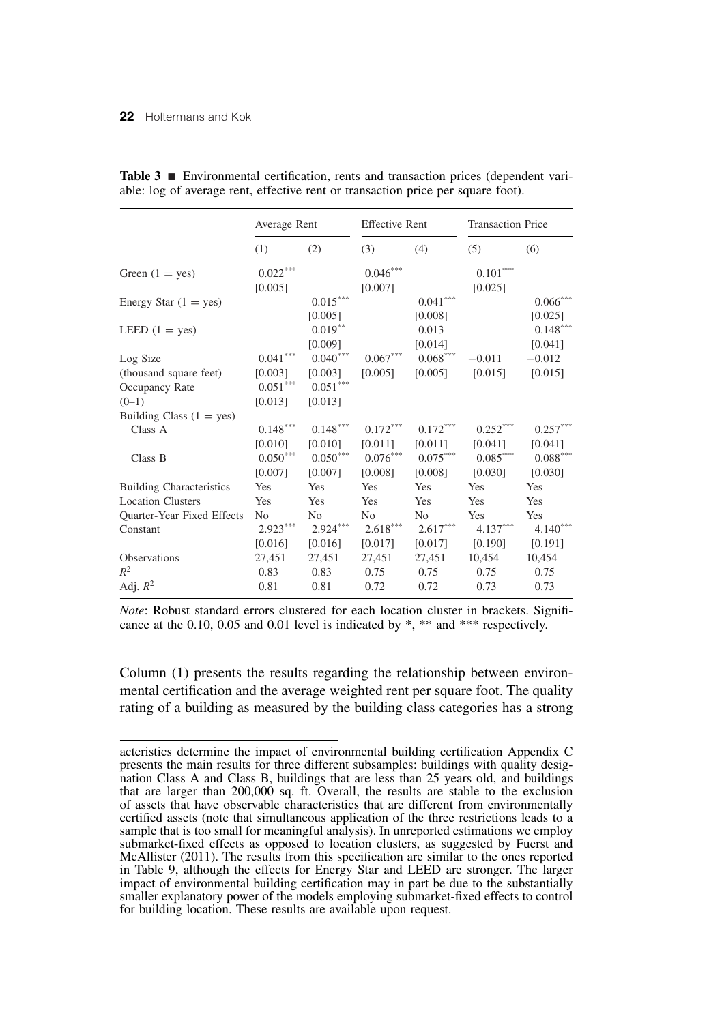|                                   | Average Rent           |                        |                        | <b>Effective Rent</b>  |                        | <b>Transaction Price</b> |
|-----------------------------------|------------------------|------------------------|------------------------|------------------------|------------------------|--------------------------|
|                                   | (1)                    | (2)                    | (3)                    | (4)                    | (5)                    | (6)                      |
| Green $(1 = yes)$                 | $0.022***$             |                        | $0.046***$             |                        | $0.101***$             |                          |
|                                   | [0.005]                |                        | [0.007]                |                        | [0.025]                |                          |
| Energy Star $(1 = yes)$           |                        | $0.015***$             |                        | $0.041^{\ast\ast\ast}$ |                        | $0.066^{\ast\ast\ast}$   |
|                                   |                        | [0.005]                |                        | [0.008]                |                        | [0.025]                  |
| LEED $(1 = yes)$                  |                        | $0.019**$              |                        | 0.013                  |                        | $0.148***$               |
|                                   |                        | [0.009]                |                        | [0.014]                |                        | [0.041]                  |
| Log Size                          | $0.041^{\ast\ast\ast}$ | $0.040***$             | $0.067^{\ast\ast\ast}$ | $0.068^{\ast\ast\ast}$ | $-0.011$               | $-0.012$                 |
| (thousand square feet)            | [0.003]                | [0.003]                | [0.005]                | [0.005]                | [0.015]                | [0.015]                  |
| Occupancy Rate                    | $0.051^{\ast\ast\ast}$ | $0.051^{\ast\ast\ast}$ |                        |                        |                        |                          |
| $(0-1)$                           | [0.013]                | [0.013]                |                        |                        |                        |                          |
| Building Class $(1 = yes)$        |                        |                        |                        |                        |                        |                          |
| Class A                           | $0.148^{\ast\ast\ast}$ | $0.148^{\ast\ast\ast}$ | $0.172***$             | $0.172***$             | $0.252***$             | $0.257***$               |
|                                   | [0.010]                | [0.010]                | [0.011]                | [0.011]                | [0.041]                | [0.041]                  |
| Class B                           | $0.050^{\ast\ast\ast}$ | $0.050^{\ast\ast\ast}$ | $0.076^{\ast\ast\ast}$ | $0.075^{\ast\ast\ast}$ | $0.085^{\ast\ast\ast}$ | $0.088^{\ast\ast\ast}$   |
|                                   | [0.007]                | [0.007]                | [0.008]                | [0.008]                | [0.030]                | [0.030]                  |
| <b>Building Characteristics</b>   | Yes                    | Yes                    | Yes                    | Yes                    | Yes                    | Yes                      |
| <b>Location Clusters</b>          | Yes                    | Yes                    | Yes                    | Yes                    | Yes                    | Yes                      |
| <b>Ouarter-Year Fixed Effects</b> | N <sub>0</sub>         | N <sub>o</sub>         | N <sub>0</sub>         | N <sub>0</sub>         | Yes                    | Yes                      |
| Constant                          | $2.923***$             | $2.924***$             | $2.618^{\ast\ast\ast}$ | $2.617***$             | $4.137***$             | $4.140***$               |
|                                   | [0.016]                | [0.016]                | [0.017]                | [0.017]                | [0.190]                | [0.191]                  |
| Observations                      | 27,451                 | 27,451                 | 27,451                 | 27,451                 | 10,454                 | 10,454                   |
| $R^2$                             | 0.83                   | 0.83                   | 0.75                   | 0.75                   | 0.75                   | 0.75                     |
| Adj. $R^2$                        | 0.81                   | 0.81                   | 0.72                   | 0.72                   | 0.73                   | 0.73                     |

|  | <b>Table 3</b> $\blacksquare$ Environmental certification, rents and transaction prices (dependent vari- |  |  |  |  |
|--|----------------------------------------------------------------------------------------------------------|--|--|--|--|
|  | able: log of average rent, effective rent or transaction price per square foot).                         |  |  |  |  |

*Note*: Robust standard errors clustered for each location cluster in brackets. Significance at the 0.10, 0.05 and 0.01 level is indicated by \*, \*\* and \*\*\* respectively.

Column (1) presents the results regarding the relationship between environmental certification and the average weighted rent per square foot. The quality rating of a building as measured by the building class categories has a strong

acteristics determine the impact of environmental building certification Appendix C presents the main results for three different subsamples: buildings with quality designation Class A and Class B, buildings that are less than 25 years old, and buildings that are larger than 200,000 sq. ft. Overall, the results are stable to the exclusion of assets that have observable characteristics that are different from environmentally certified assets (note that simultaneous application of the three restrictions leads to a sample that is too small for meaningful analysis). In unreported estimations we employ submarket-fixed effects as opposed to location clusters, as suggested by Fuerst and McAllister (2011). The results from this specification are similar to the ones reported in Table 9, although the effects for Energy Star and LEED are stronger. The larger impact of environmental building certification may in part be due to the substantially smaller explanatory power of the models employing submarket-fixed effects to control for building location. These results are available upon request.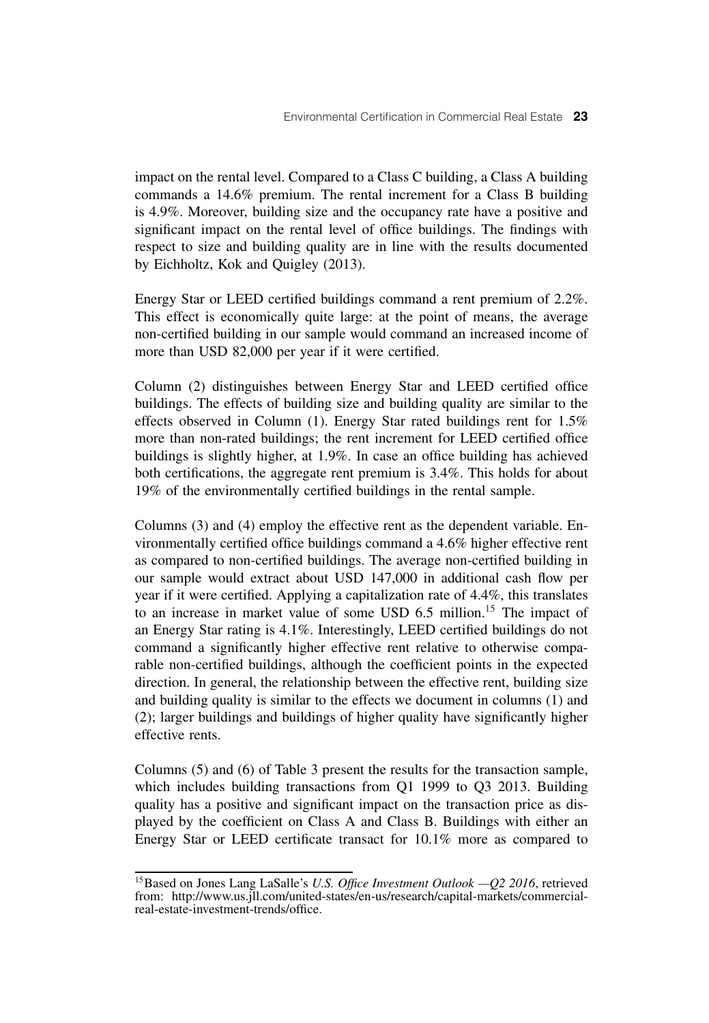impact on the rental level. Compared to a Class C building, a Class A building commands a 14.6% premium. The rental increment for a Class B building is 4.9%. Moreover, building size and the occupancy rate have a positive and significant impact on the rental level of office buildings. The findings with respect to size and building quality are in line with the results documented by Eichholtz, Kok and Quigley (2013).

Energy Star or LEED certified buildings command a rent premium of 2.2%. This effect is economically quite large: at the point of means, the average non-certified building in our sample would command an increased income of more than USD 82,000 per year if it were certified.

Column (2) distinguishes between Energy Star and LEED certified office buildings. The effects of building size and building quality are similar to the effects observed in Column (1). Energy Star rated buildings rent for 1.5% more than non-rated buildings; the rent increment for LEED certified office buildings is slightly higher, at 1.9%. In case an office building has achieved both certifications, the aggregate rent premium is 3.4%. This holds for about 19% of the environmentally certified buildings in the rental sample.

Columns (3) and (4) employ the effective rent as the dependent variable. Environmentally certified office buildings command a 4.6% higher effective rent as compared to non-certified buildings. The average non-certified building in our sample would extract about USD 147,000 in additional cash flow per year if it were certified. Applying a capitalization rate of 4.4%, this translates to an increase in market value of some USD 6.5 million.<sup>15</sup> The impact of an Energy Star rating is 4.1%. Interestingly, LEED certified buildings do not command a significantly higher effective rent relative to otherwise comparable non-certified buildings, although the coefficient points in the expected direction. In general, the relationship between the effective rent, building size and building quality is similar to the effects we document in columns (1) and (2); larger buildings and buildings of higher quality have significantly higher effective rents.

Columns (5) and (6) of Table 3 present the results for the transaction sample, which includes building transactions from O1 1999 to O3 2013. Building quality has a positive and significant impact on the transaction price as displayed by the coefficient on Class A and Class B. Buildings with either an Energy Star or LEED certificate transact for 10.1% more as compared to

<sup>15</sup>Based on Jones Lang LaSalle's *U.S. Office Investment Outlook —Q2 2016*, retrieved from: http://www.us.jll.com/united-states/en-us/research/capital-markets/commercialreal-estate-investment-trends/office.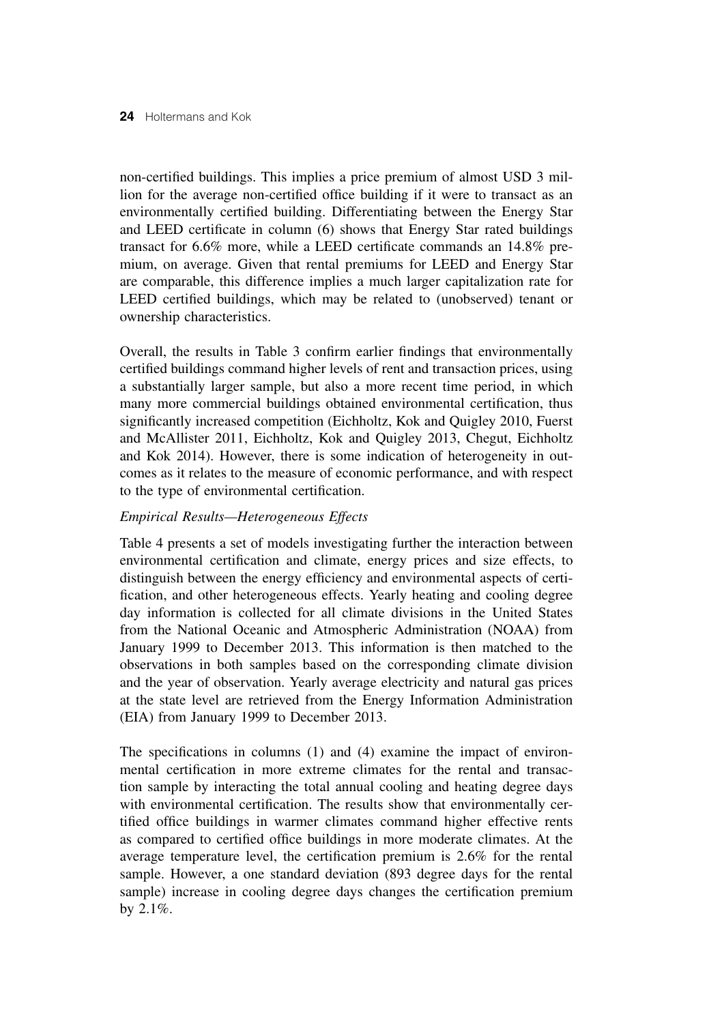non-certified buildings. This implies a price premium of almost USD 3 million for the average non-certified office building if it were to transact as an environmentally certified building. Differentiating between the Energy Star and LEED certificate in column (6) shows that Energy Star rated buildings transact for 6.6% more, while a LEED certificate commands an 14.8% premium, on average. Given that rental premiums for LEED and Energy Star are comparable, this difference implies a much larger capitalization rate for LEED certified buildings, which may be related to (unobserved) tenant or ownership characteristics.

Overall, the results in Table 3 confirm earlier findings that environmentally certified buildings command higher levels of rent and transaction prices, using a substantially larger sample, but also a more recent time period, in which many more commercial buildings obtained environmental certification, thus significantly increased competition (Eichholtz, Kok and Quigley 2010, Fuerst and McAllister 2011, Eichholtz, Kok and Quigley 2013, Chegut, Eichholtz and Kok 2014). However, there is some indication of heterogeneity in outcomes as it relates to the measure of economic performance, and with respect to the type of environmental certification.

# *Empirical Results—Heterogeneous Effects*

Table 4 presents a set of models investigating further the interaction between environmental certification and climate, energy prices and size effects, to distinguish between the energy efficiency and environmental aspects of certification, and other heterogeneous effects. Yearly heating and cooling degree day information is collected for all climate divisions in the United States from the National Oceanic and Atmospheric Administration (NOAA) from January 1999 to December 2013. This information is then matched to the observations in both samples based on the corresponding climate division and the year of observation. Yearly average electricity and natural gas prices at the state level are retrieved from the Energy Information Administration (EIA) from January 1999 to December 2013.

The specifications in columns (1) and (4) examine the impact of environmental certification in more extreme climates for the rental and transaction sample by interacting the total annual cooling and heating degree days with environmental certification. The results show that environmentally certified office buildings in warmer climates command higher effective rents as compared to certified office buildings in more moderate climates. At the average temperature level, the certification premium is 2.6% for the rental sample. However, a one standard deviation (893 degree days for the rental sample) increase in cooling degree days changes the certification premium by 2.1%.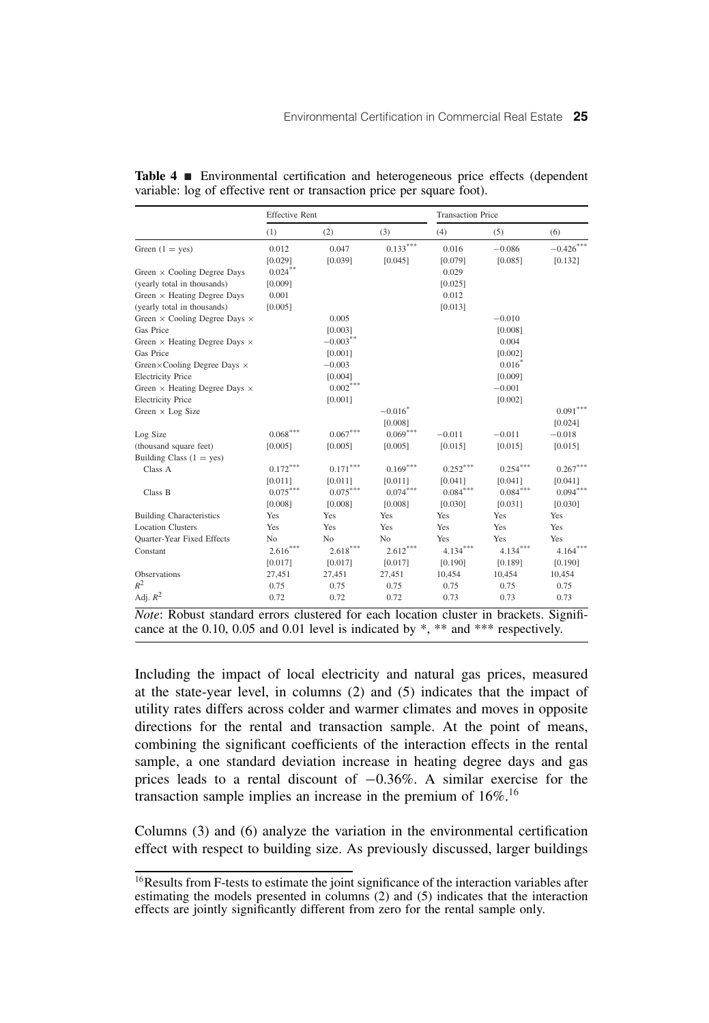|                                                                                        | <b>Effective Rent</b> |                          |            | <b>Transaction Price</b> |            |            |  |
|----------------------------------------------------------------------------------------|-----------------------|--------------------------|------------|--------------------------|------------|------------|--|
|                                                                                        | (1)                   | (2)                      | (3)        | (4)                      | (5)        | (6)        |  |
| Green $(1 = yes)$                                                                      | 0.012                 | 0.047                    | $0.133***$ | 0.016                    | $-0.086$   | $-0.426$   |  |
|                                                                                        | [0.029]               | [0.039]                  | [0.045]    | [0.079]                  | [0.085]    | [0.132]    |  |
| Green $\times$ Cooling Degree Days                                                     | $0.024***$            |                          |            | 0.029                    |            |            |  |
| (yearly total in thousands)                                                            | [0.009]               |                          |            | [0.025]                  |            |            |  |
| Green $\times$ Heating Degree Days                                                     | 0.001                 |                          |            | 0.012                    |            |            |  |
| (yearly total in thousands)                                                            | [0.005]               |                          |            | [0.013]                  |            |            |  |
| Green $\times$ Cooling Degree Days $\times$                                            |                       | 0.005                    |            |                          | $-0.010$   |            |  |
| Gas Price                                                                              |                       | [0.003]                  |            |                          | [0.008]    |            |  |
| Green $\times$ Heating Degree Days $\times$                                            |                       | $-0.003***$              |            |                          | 0.004      |            |  |
| Gas Price                                                                              |                       | [0.001]                  |            |                          | [0.002]    |            |  |
| Green×Cooling Degree Days ×                                                            |                       | $-0.003$                 |            |                          | $0.016*$   |            |  |
| <b>Electricity Price</b>                                                               |                       | [0.004]                  |            |                          | [0.009]    |            |  |
| Green × Heating Degree Days ×                                                          |                       | $0.002***$               |            |                          | $-0.001$   |            |  |
| <b>Electricity Price</b>                                                               |                       | [0.001]                  |            |                          | [0.002]    |            |  |
| Green $\times$ Log Size                                                                |                       |                          | $-0.016*$  |                          |            | $0.091***$ |  |
|                                                                                        |                       |                          | [0.008]    |                          |            | [0.024]    |  |
| Log Size                                                                               | $0.068^{***}$         | $0.067***$               | $0.069***$ | $-0.011$                 | $-0.011$   | $-0.018$   |  |
| (thousand square feet)                                                                 | [0.005]               | [0.005]                  | [0.005]    | [0.015]                  | [0.015]    | [0.015]    |  |
| Building Class $(1 = yes)$                                                             |                       |                          |            |                          |            |            |  |
| Class A                                                                                | $0.172***$            | ${0.171}^{\ast\ast\ast}$ | $0.169***$ | $0.252***$               | $0.254***$ | $0.267***$ |  |
|                                                                                        | [0.011]               | [0.011]                  | [0.011]    | [0.041]                  | [0.041]    | [0.041]    |  |
| Class B                                                                                | $0.075***$            | $0.075***$               | $0.074***$ | $0.084^{\ast\ast\ast}$   | $0.084***$ | $0.094***$ |  |
|                                                                                        | [0.008]               | [0.008]                  | [0.008]    | [0.030]                  | [0.031]    | [0.030]    |  |
| <b>Building Characteristics</b>                                                        | Yes                   | Yes                      | Yes        | Yes                      | Yes        | Yes        |  |
| <b>Location Clusters</b>                                                               | Yes                   | Yes                      | Yes        | Yes                      | Yes        | Yes        |  |
| Quarter-Year Fixed Effects                                                             | No                    | No                       | No         | Yes                      | Yes        | Yes        |  |
| Constant                                                                               | $2.616***$            | $2.618***$               | $2.612***$ | $4.134***$               | $4.134***$ | $4.164***$ |  |
|                                                                                        | [0.017]               | [0.017]                  | [0.017]    | [0.190]                  | [0.189]    | [0.190]    |  |
| Observations                                                                           | 27,451                | 27,451                   | 27,451     | 10,454                   | 10,454     | 10,454     |  |
| $R^2$                                                                                  | 0.75                  | 0.75                     | 0.75       | 0.75                     | 0.75       | 0.75       |  |
| Adj. $R^2$                                                                             | 0.72                  | 0.72                     | 0.72       | 0.73                     | 0.73       | 0.73       |  |
| Note: Robust standard errors clustered for each location cluster in brackets. Signifi- |                       |                          |            |                          |            |            |  |
| cance at the 0.10, 0.05 and 0.01 level is indicated by *, ** and *** respectively.     |                       |                          |            |                          |            |            |  |

Table 4 **Environmental certification and heterogeneous price effects (dependent** variable: log of effective rent or transaction price per square foot).

Including the impact of local electricity and natural gas prices, measured at the state-year level, in columns (2) and (5) indicates that the impact of utility rates differs across colder and warmer climates and moves in opposite directions for the rental and transaction sample. At the point of means, combining the significant coefficients of the interaction effects in the rental sample, a one standard deviation increase in heating degree days and gas prices leads to a rental discount of −0.36%. A similar exercise for the transaction sample implies an increase in the premium of  $16\%$ .<sup>16</sup>

Columns (3) and (6) analyze the variation in the environmental certification effect with respect to building size. As previously discussed, larger buildings

<sup>16</sup>Results from F-tests to estimate the joint significance of the interaction variables after estimating the models presented in columns (2) and (5) indicates that the interaction effects are jointly significantly different from zero for the rental sample only.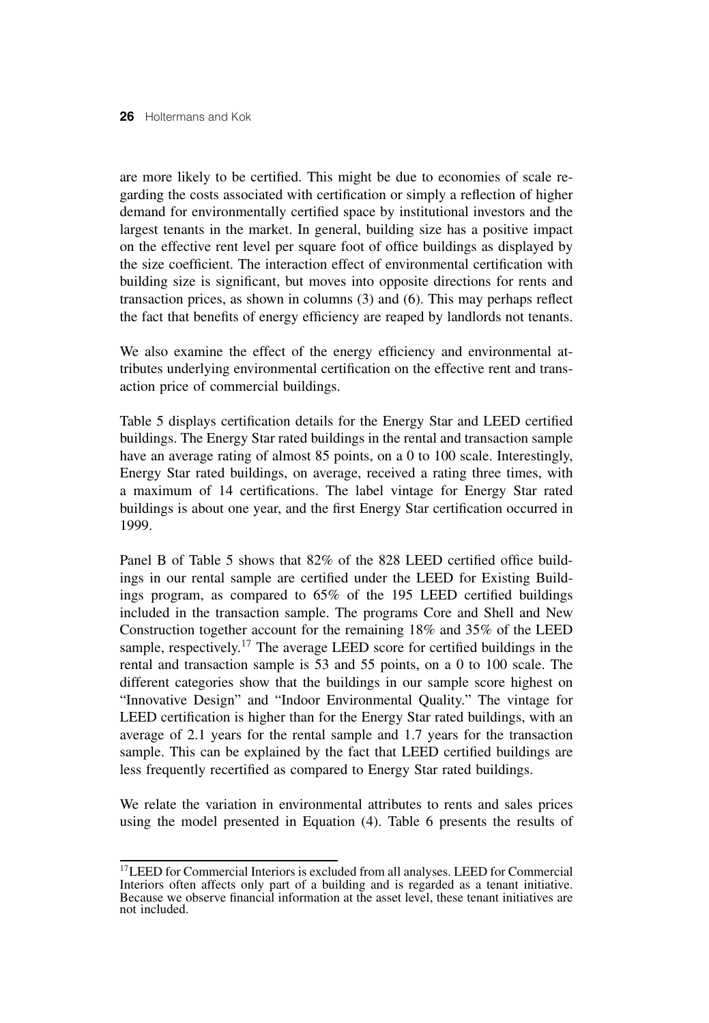are more likely to be certified. This might be due to economies of scale regarding the costs associated with certification or simply a reflection of higher demand for environmentally certified space by institutional investors and the largest tenants in the market. In general, building size has a positive impact on the effective rent level per square foot of office buildings as displayed by the size coefficient. The interaction effect of environmental certification with building size is significant, but moves into opposite directions for rents and transaction prices, as shown in columns (3) and (6). This may perhaps reflect the fact that benefits of energy efficiency are reaped by landlords not tenants.

We also examine the effect of the energy efficiency and environmental attributes underlying environmental certification on the effective rent and transaction price of commercial buildings.

Table 5 displays certification details for the Energy Star and LEED certified buildings. The Energy Star rated buildings in the rental and transaction sample have an average rating of almost 85 points, on a 0 to 100 scale. Interestingly, Energy Star rated buildings, on average, received a rating three times, with a maximum of 14 certifications. The label vintage for Energy Star rated buildings is about one year, and the first Energy Star certification occurred in 1999.

Panel B of Table 5 shows that 82% of the 828 LEED certified office buildings in our rental sample are certified under the LEED for Existing Buildings program, as compared to 65% of the 195 LEED certified buildings included in the transaction sample. The programs Core and Shell and New Construction together account for the remaining 18% and 35% of the LEED sample, respectively.<sup>17</sup> The average LEED score for certified buildings in the rental and transaction sample is 53 and 55 points, on a 0 to 100 scale. The different categories show that the buildings in our sample score highest on "Innovative Design" and "Indoor Environmental Quality." The vintage for LEED certification is higher than for the Energy Star rated buildings, with an average of 2.1 years for the rental sample and 1.7 years for the transaction sample. This can be explained by the fact that LEED certified buildings are less frequently recertified as compared to Energy Star rated buildings.

We relate the variation in environmental attributes to rents and sales prices using the model presented in Equation (4). Table 6 presents the results of

<sup>&</sup>lt;sup>17</sup>LEED for Commercial Interiors is excluded from all analyses. LEED for Commercial Interiors often affects only part of a building and is regarded as a tenant initiative. Because we observe financial information at the asset level, these tenant initiatives are not included.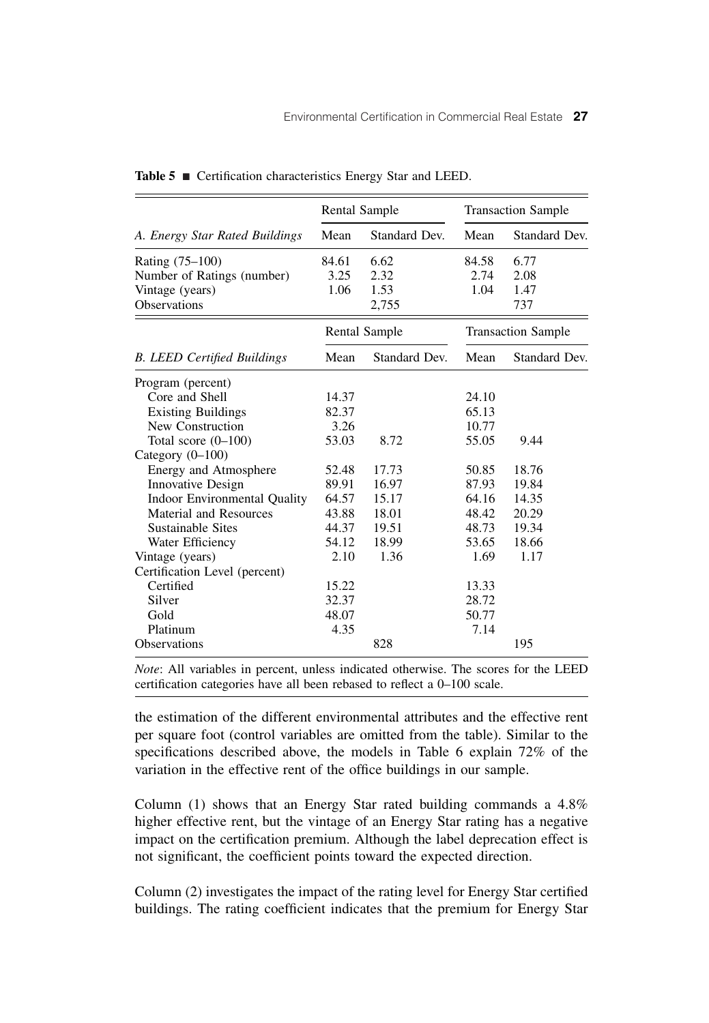|                                     | <b>Rental Sample</b> |                      |       | <b>Transaction Sample</b> |
|-------------------------------------|----------------------|----------------------|-------|---------------------------|
| A. Energy Star Rated Buildings      | Mean                 | Standard Dev.        | Mean  | Standard Dev.             |
| Rating (75–100)                     | 84.61                | 6.62                 | 84.58 | 6.77                      |
| Number of Ratings (number)          | 3.25                 | 2.32                 | 2.74  | 2.08                      |
| Vintage (years)                     | 1.06                 | 1.53                 | 1.04  | 1.47                      |
| <b>Observations</b>                 |                      | 2,755                |       | 737                       |
|                                     |                      | <b>Rental Sample</b> |       | <b>Transaction Sample</b> |
| <b>B.</b> LEED Certified Buildings  | Mean                 | Standard Dev.        | Mean  | Standard Dev.             |
| Program (percent)                   |                      |                      |       |                           |
| Core and Shell                      | 14.37                |                      | 24.10 |                           |
| <b>Existing Buildings</b>           | 82.37                |                      | 65.13 |                           |
| New Construction                    | 3.26                 |                      | 10.77 |                           |
| Total score $(0-100)$               | 53.03                | 8.72                 | 55.05 | 9.44                      |
| Category $(0-100)$                  |                      |                      |       |                           |
| Energy and Atmosphere               | 52.48                | 17.73                | 50.85 | 18.76                     |
| <b>Innovative Design</b>            | 89.91                | 16.97                | 87.93 | 19.84                     |
| <b>Indoor Environmental Quality</b> | 64.57                | 15.17                | 64.16 | 14.35                     |
| Material and Resources              | 43.88                | 18.01                | 48.42 | 20.29                     |
| Sustainable Sites                   | 44.37                | 19.51                | 48.73 | 19.34                     |
| Water Efficiency                    | 54.12                | 18.99                | 53.65 | 18.66                     |
| Vintage (years)                     | 2.10                 | 1.36                 | 1.69  | 1.17                      |
| Certification Level (percent)       |                      |                      |       |                           |
| Certified                           | 15.22                |                      | 13.33 |                           |
| Silver                              | 32.37                |                      | 28.72 |                           |
| Gold                                | 48.07                |                      | 50.77 |                           |
| Platinum                            | 4.35                 |                      | 7.14  |                           |
| Observations                        |                      | 828                  |       | 195                       |

Table 5 Certification characteristics Energy Star and LEED.

*Note*: All variables in percent, unless indicated otherwise. The scores for the LEED certification categories have all been rebased to reflect a 0–100 scale.

the estimation of the different environmental attributes and the effective rent per square foot (control variables are omitted from the table). Similar to the specifications described above, the models in Table 6 explain 72% of the variation in the effective rent of the office buildings in our sample.

Column (1) shows that an Energy Star rated building commands a 4.8% higher effective rent, but the vintage of an Energy Star rating has a negative impact on the certification premium. Although the label deprecation effect is not significant, the coefficient points toward the expected direction.

Column (2) investigates the impact of the rating level for Energy Star certified buildings. The rating coefficient indicates that the premium for Energy Star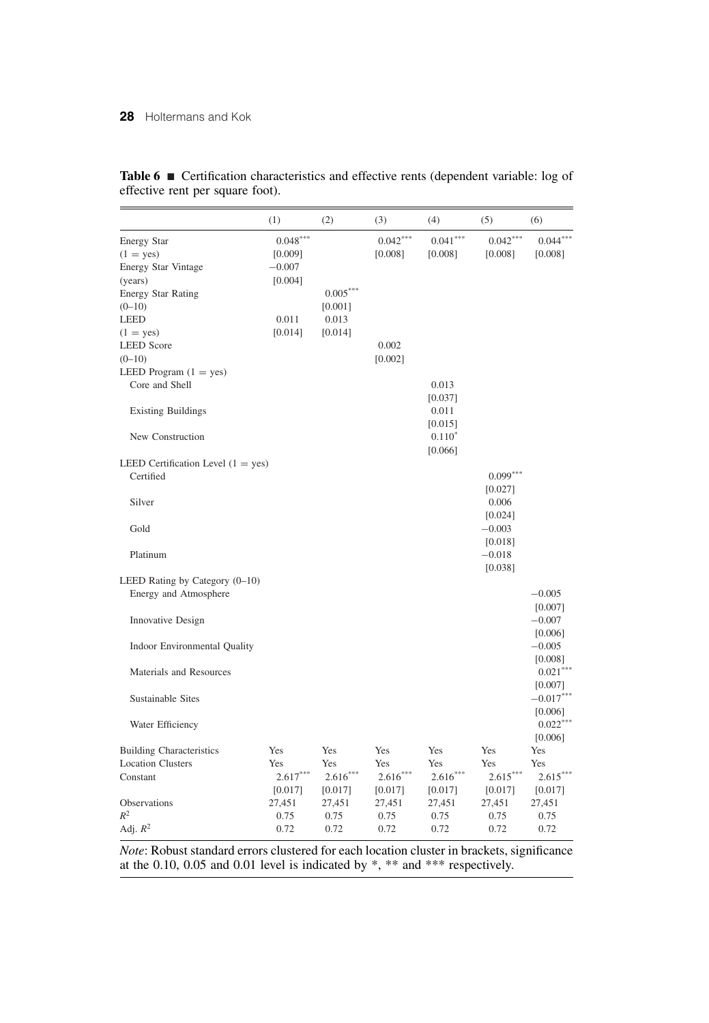|                                                                                                         | (1)                                          | (2)            | (3)                   | (4)                   | (5)                   | (6)                   |
|---------------------------------------------------------------------------------------------------------|----------------------------------------------|----------------|-----------------------|-----------------------|-----------------------|-----------------------|
| <b>Energy Star</b><br>$(1 = yes)$<br><b>Energy Star Vintage</b><br>(years)<br><b>Energy Star Rating</b> | $0.048***$<br>[0.009]<br>$-0.007$<br>[0.004] | $0.005^{***}$  | $0.042***$<br>[0.008] | $0.041***$<br>[0.008] | $0.042***$<br>[0.008] | $0.044***$<br>[0.008] |
| $(0-10)$                                                                                                |                                              | [0.001]        |                       |                       |                       |                       |
| <b>LEED</b>                                                                                             | 0.011                                        | 0.013          |                       |                       |                       |                       |
| $(1 = yes)$                                                                                             | [0.014]                                      | [0.014]        |                       |                       |                       |                       |
| <b>LEED</b> Score                                                                                       |                                              |                | 0.002                 |                       |                       |                       |
| $(0-10)$                                                                                                |                                              |                | [0.002]               |                       |                       |                       |
| LEED Program $(1 = yes)$                                                                                |                                              |                |                       |                       |                       |                       |
| Core and Shell                                                                                          |                                              |                |                       | 0.013                 |                       |                       |
|                                                                                                         |                                              |                |                       | [0.037]               |                       |                       |
| <b>Existing Buildings</b>                                                                               |                                              |                |                       | 0.011                 |                       |                       |
|                                                                                                         |                                              |                |                       | [0.015]               |                       |                       |
| New Construction                                                                                        |                                              |                |                       | $0.110*$              |                       |                       |
|                                                                                                         |                                              |                |                       | [0.066]               |                       |                       |
| LEED Certification Level $(1 = yes)$                                                                    |                                              |                |                       |                       |                       |                       |
| Certified                                                                                               |                                              |                |                       |                       | $0.099***$            |                       |
| Silver                                                                                                  |                                              |                |                       |                       | [0.027]<br>0.006      |                       |
|                                                                                                         |                                              |                |                       |                       | [0.024]               |                       |
| Gold                                                                                                    |                                              |                |                       |                       | $-0.003$              |                       |
|                                                                                                         |                                              |                |                       |                       | $[0.018]$             |                       |
| Platinum                                                                                                |                                              |                |                       |                       | $-0.018$              |                       |
|                                                                                                         |                                              |                |                       |                       | [0.038]               |                       |
| LEED Rating by Category $(0-10)$<br>Energy and Atmosphere                                               |                                              |                |                       |                       |                       | $-0.005$              |
|                                                                                                         |                                              |                |                       |                       |                       | [0.007]               |
| Innovative Design                                                                                       |                                              |                |                       |                       |                       | $-0.007$              |
|                                                                                                         |                                              |                |                       |                       |                       | [0.006]               |
| Indoor Environmental Quality                                                                            |                                              |                |                       |                       |                       | $-0.005$              |
|                                                                                                         |                                              |                |                       |                       |                       | [0.008]               |
| Materials and Resources                                                                                 |                                              |                |                       |                       |                       | $0.021***$            |
|                                                                                                         |                                              |                |                       |                       |                       | [0.007]               |
| Sustainable Sites                                                                                       |                                              |                |                       |                       |                       | $-0.017***$           |
|                                                                                                         |                                              |                |                       |                       |                       | [0.006]               |
| Water Efficiency                                                                                        |                                              |                |                       |                       |                       | $0.022***$            |
|                                                                                                         |                                              |                |                       |                       |                       | [0.006]               |
| <b>Building Characteristics</b>                                                                         | Yes                                          | Yes            | Yes                   | Yes                   | Yes                   | Yes                   |
| <b>Location Clusters</b>                                                                                | Yes                                          | Yes            | Yes                   | Yes                   | Yes                   | Yes                   |
| Constant                                                                                                | $2.617***$                                   | $2.616***$     | $2.616***$            | $2.616***$            | $2.615***$            | $2.615***$            |
| Observations                                                                                            | [0.017]                                      | [0.017]        | [0.017]               | [0.017]               | [0.017]               | [0.017]               |
| $R^2$                                                                                                   | 27,451<br>0.75                               | 27,451<br>0.75 | 27,451<br>0.75        | 27,451<br>0.75        | 27,451<br>0.75        | 27,451<br>0.75        |
| Adj. $R^2$                                                                                              | 0.72                                         | 0.72           | 0.72                  | 0.72                  | 0.72                  | 0.72                  |

Table 6 **Certification characteristics and effective rents (dependent variable: log of** effective rent per square foot).

*Note*: Robust standard errors clustered for each location cluster in brackets, significance at the 0.10, 0.05 and 0.01 level is indicated by \*, \*\* and \*\*\* respectively.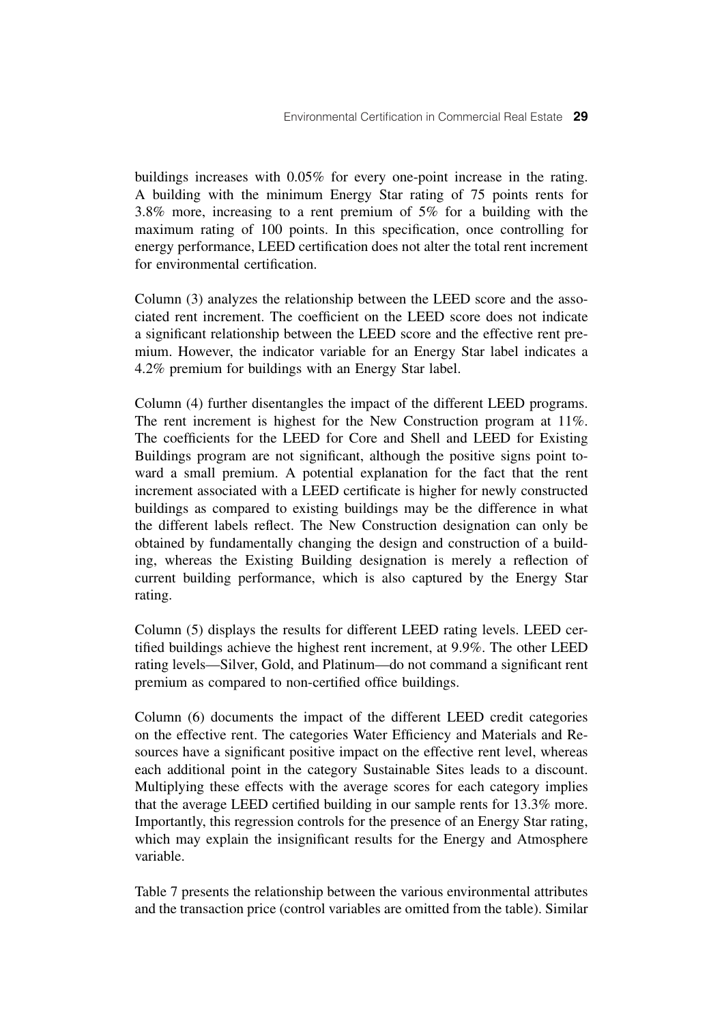buildings increases with 0.05% for every one-point increase in the rating. A building with the minimum Energy Star rating of 75 points rents for 3.8% more, increasing to a rent premium of 5% for a building with the maximum rating of 100 points. In this specification, once controlling for energy performance, LEED certification does not alter the total rent increment for environmental certification.

Column (3) analyzes the relationship between the LEED score and the associated rent increment. The coefficient on the LEED score does not indicate a significant relationship between the LEED score and the effective rent premium. However, the indicator variable for an Energy Star label indicates a 4.2% premium for buildings with an Energy Star label.

Column (4) further disentangles the impact of the different LEED programs. The rent increment is highest for the New Construction program at 11%. The coefficients for the LEED for Core and Shell and LEED for Existing Buildings program are not significant, although the positive signs point toward a small premium. A potential explanation for the fact that the rent increment associated with a LEED certificate is higher for newly constructed buildings as compared to existing buildings may be the difference in what the different labels reflect. The New Construction designation can only be obtained by fundamentally changing the design and construction of a building, whereas the Existing Building designation is merely a reflection of current building performance, which is also captured by the Energy Star rating.

Column (5) displays the results for different LEED rating levels. LEED certified buildings achieve the highest rent increment, at 9.9%. The other LEED rating levels—Silver, Gold, and Platinum—do not command a significant rent premium as compared to non-certified office buildings.

Column (6) documents the impact of the different LEED credit categories on the effective rent. The categories Water Efficiency and Materials and Resources have a significant positive impact on the effective rent level, whereas each additional point in the category Sustainable Sites leads to a discount. Multiplying these effects with the average scores for each category implies that the average LEED certified building in our sample rents for 13.3% more. Importantly, this regression controls for the presence of an Energy Star rating, which may explain the insignificant results for the Energy and Atmosphere variable.

Table 7 presents the relationship between the various environmental attributes and the transaction price (control variables are omitted from the table). Similar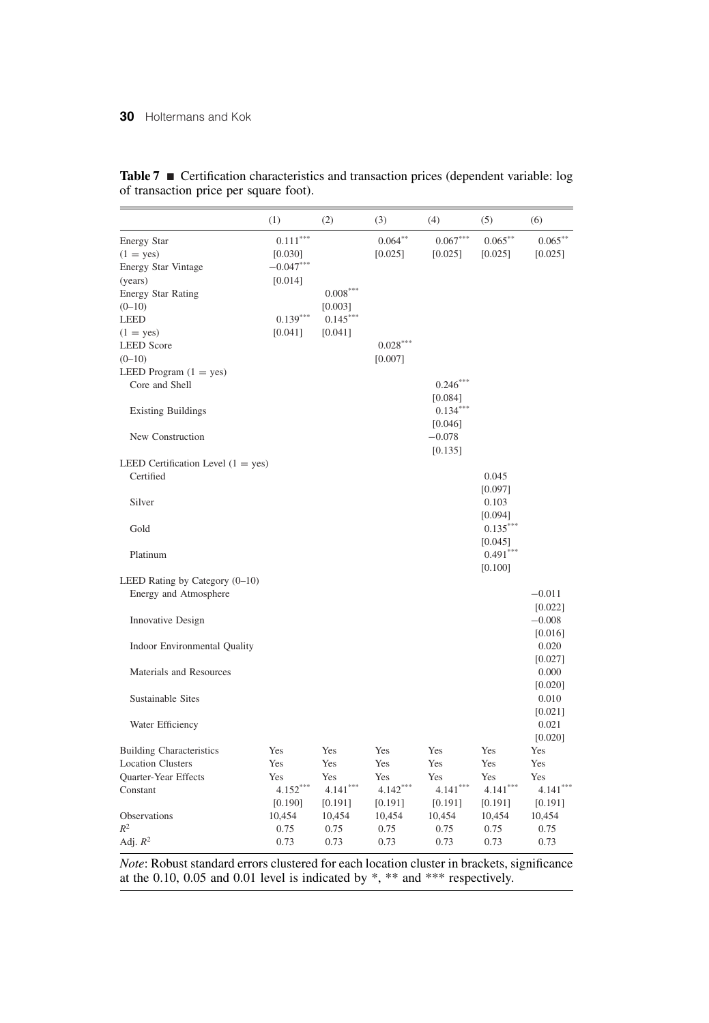|                                                                                                                                                                        | (1)                                                                      | (2)                                                        | (3)                                                  | (4)                                                                   | (5)                                                  | (6)                                                  |
|------------------------------------------------------------------------------------------------------------------------------------------------------------------------|--------------------------------------------------------------------------|------------------------------------------------------------|------------------------------------------------------|-----------------------------------------------------------------------|------------------------------------------------------|------------------------------------------------------|
| <b>Energy Star</b><br>$(1 = yes)$<br><b>Energy Star Vintage</b><br>(years)<br><b>Energy Star Rating</b><br>$(0-10)$<br><b>LEED</b><br>$(1 = yes)$<br><b>LEED</b> Score | $0.111***$<br>[0.030]<br>$-0.047***$<br>[0.014]<br>$0.139***$<br>[0.041] | $0.008^{\ast\ast\ast}$<br>[0.003]<br>$0.145***$<br>[0.041] | $0.064***$<br>[0.025]<br>$0.028***$<br>[0.007]       | $0.067***$<br>[0.025]                                                 | $0.065***$<br>[0.025]                                | $0.065***$<br>[0.025]                                |
| $(0-10)$<br>LEED Program $(1 = yes)$<br>Core and Shell<br><b>Existing Buildings</b><br>New Construction                                                                |                                                                          |                                                            |                                                      | $0.246***$<br>[0.084]<br>$0.134***$<br>[0.046]<br>$-0.078$<br>[0.135] |                                                      |                                                      |
| LEED Certification Level $(1 = yes)$<br>Certified<br>Silver                                                                                                            |                                                                          |                                                            |                                                      |                                                                       | 0.045<br>[0.097]<br>0.103<br>[0.094]                 |                                                      |
| Gold<br>Platinum                                                                                                                                                       |                                                                          |                                                            |                                                      |                                                                       | $0.135***$<br>$[0.045]$<br>$0.491***$<br>[0.100]     |                                                      |
| LEED Rating by Category (0-10)<br>Energy and Atmosphere<br>Innovative Design                                                                                           |                                                                          |                                                            |                                                      |                                                                       |                                                      | $-0.011$<br>[0.022]<br>$-0.008$<br>[0.016]           |
| Indoor Environmental Quality<br>Materials and Resources                                                                                                                |                                                                          |                                                            |                                                      |                                                                       |                                                      | 0.020<br>[0.027]<br>0.000<br>[0.020]                 |
| Sustainable Sites<br>Water Efficiency                                                                                                                                  |                                                                          |                                                            |                                                      |                                                                       |                                                      | 0.010<br>[0.021]<br>0.021<br>[0.020]                 |
| <b>Building Characteristics</b><br><b>Location Clusters</b><br><b>Ouarter-Year Effects</b><br>Constant<br>Observations                                                 | Yes<br>Yes<br>Yes<br>$4.152***$<br>[0.190]<br>10,454                     | Yes<br>Yes<br>Yes<br>$4.141***$<br>[0.191]<br>10,454       | Yes<br>Yes<br>Yes<br>$4.142***$<br>[0.191]<br>10,454 | Yes<br>Yes<br>Yes<br>$4.141***$<br>[0.191]<br>10,454                  | Yes<br>Yes<br>Yes<br>$4.141***$<br>[0.191]<br>10,454 | Yes<br>Yes<br>Yes<br>$4.141***$<br>[0.191]<br>10,454 |
| $R^2$<br>Adj. $\mathbb{R}^2$                                                                                                                                           | 0.75<br>0.73                                                             | 0.75<br>0.73                                               | 0.75<br>0.73                                         | 0.75<br>0.73                                                          | 0.75<br>0.73                                         | 0.75<br>0.73                                         |

**Table 7** ■ Certification characteristics and transaction prices (dependent variable: log of transaction price per square foot).

*Note*: Robust standard errors clustered for each location cluster in brackets, significance at the 0.10, 0.05 and 0.01 level is indicated by \*, \*\* and \*\*\* respectively.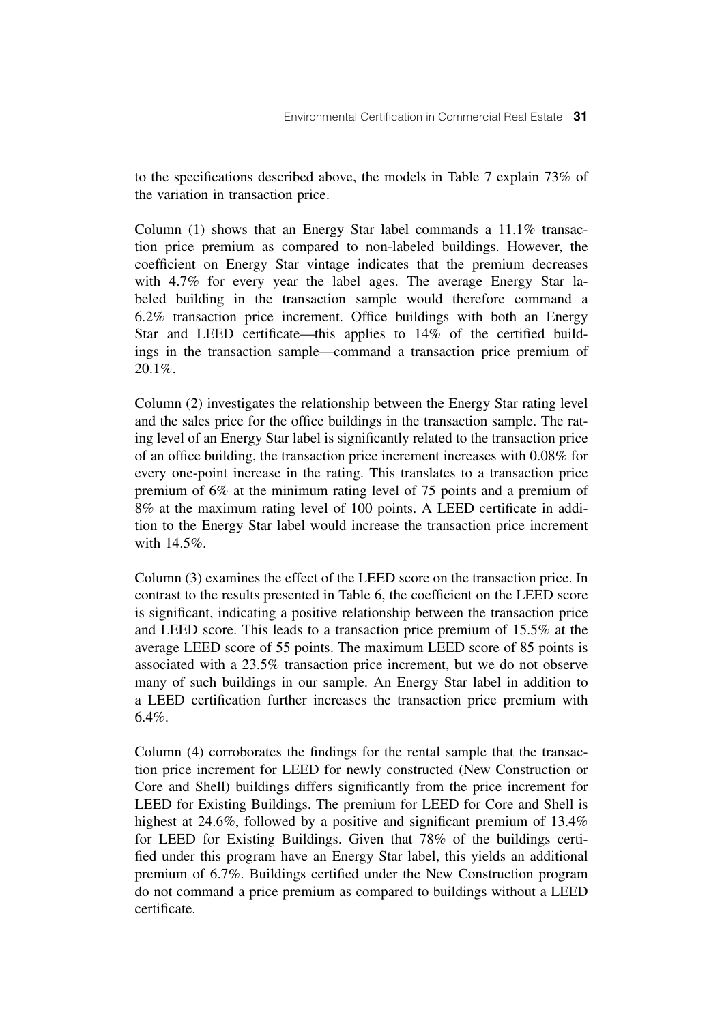to the specifications described above, the models in Table 7 explain 73% of the variation in transaction price.

Column (1) shows that an Energy Star label commands a 11.1% transaction price premium as compared to non-labeled buildings. However, the coefficient on Energy Star vintage indicates that the premium decreases with 4.7% for every year the label ages. The average Energy Star labeled building in the transaction sample would therefore command a 6.2% transaction price increment. Office buildings with both an Energy Star and LEED certificate—this applies to 14% of the certified buildings in the transaction sample—command a transaction price premium of 20.1%.

Column (2) investigates the relationship between the Energy Star rating level and the sales price for the office buildings in the transaction sample. The rating level of an Energy Star label is significantly related to the transaction price of an office building, the transaction price increment increases with 0.08% for every one-point increase in the rating. This translates to a transaction price premium of 6% at the minimum rating level of 75 points and a premium of 8% at the maximum rating level of 100 points. A LEED certificate in addition to the Energy Star label would increase the transaction price increment with 14.5%.

Column (3) examines the effect of the LEED score on the transaction price. In contrast to the results presented in Table 6, the coefficient on the LEED score is significant, indicating a positive relationship between the transaction price and LEED score. This leads to a transaction price premium of 15.5% at the average LEED score of 55 points. The maximum LEED score of 85 points is associated with a 23.5% transaction price increment, but we do not observe many of such buildings in our sample. An Energy Star label in addition to a LEED certification further increases the transaction price premium with 6.4%.

Column (4) corroborates the findings for the rental sample that the transaction price increment for LEED for newly constructed (New Construction or Core and Shell) buildings differs significantly from the price increment for LEED for Existing Buildings. The premium for LEED for Core and Shell is highest at 24.6%, followed by a positive and significant premium of 13.4% for LEED for Existing Buildings. Given that 78% of the buildings certified under this program have an Energy Star label, this yields an additional premium of 6.7%. Buildings certified under the New Construction program do not command a price premium as compared to buildings without a LEED certificate.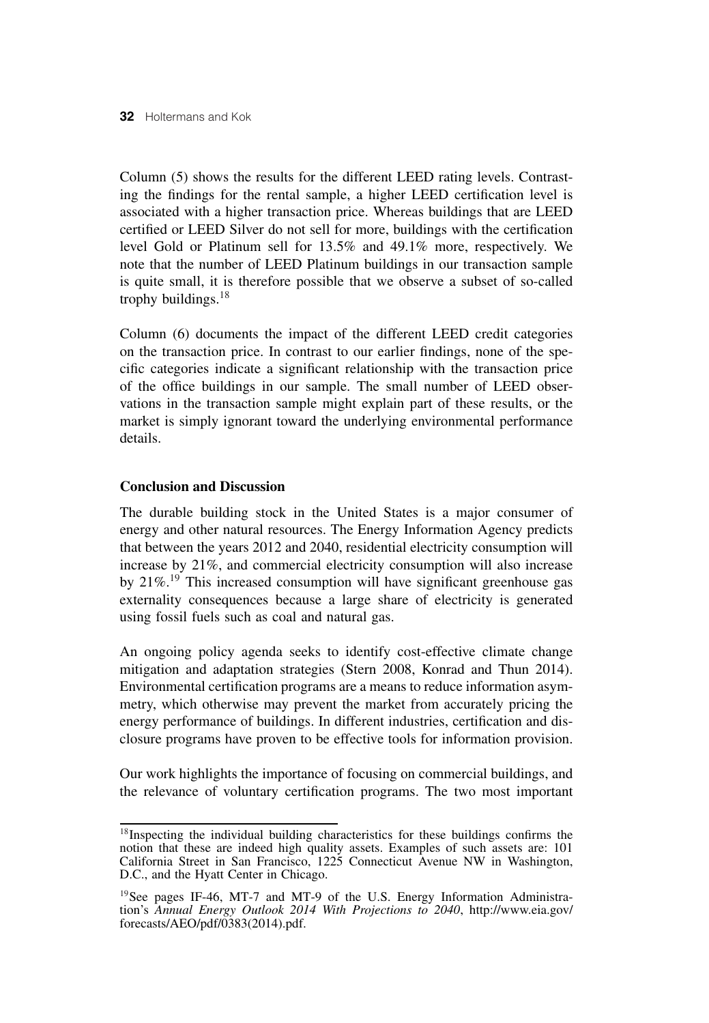Column (5) shows the results for the different LEED rating levels. Contrasting the findings for the rental sample, a higher LEED certification level is associated with a higher transaction price. Whereas buildings that are LEED certified or LEED Silver do not sell for more, buildings with the certification level Gold or Platinum sell for 13.5% and 49.1% more, respectively. We note that the number of LEED Platinum buildings in our transaction sample is quite small, it is therefore possible that we observe a subset of so-called trophy buildings.<sup>18</sup>

Column (6) documents the impact of the different LEED credit categories on the transaction price. In contrast to our earlier findings, none of the specific categories indicate a significant relationship with the transaction price of the office buildings in our sample. The small number of LEED observations in the transaction sample might explain part of these results, or the market is simply ignorant toward the underlying environmental performance details.

# **Conclusion and Discussion**

The durable building stock in the United States is a major consumer of energy and other natural resources. The Energy Information Agency predicts that between the years 2012 and 2040, residential electricity consumption will increase by 21%, and commercial electricity consumption will also increase by 21%.<sup>19</sup> This increased consumption will have significant greenhouse gas externality consequences because a large share of electricity is generated using fossil fuels such as coal and natural gas.

An ongoing policy agenda seeks to identify cost-effective climate change mitigation and adaptation strategies (Stern 2008, Konrad and Thun 2014). Environmental certification programs are a means to reduce information asymmetry, which otherwise may prevent the market from accurately pricing the energy performance of buildings. In different industries, certification and disclosure programs have proven to be effective tools for information provision.

Our work highlights the importance of focusing on commercial buildings, and the relevance of voluntary certification programs. The two most important

<sup>&</sup>lt;sup>18</sup>Inspecting the individual building characteristics for these buildings confirms the notion that these are indeed high quality assets. Examples of such assets are: 101 California Street in San Francisco, 1225 Connecticut Avenue NW in Washington, D.C., and the Hyatt Center in Chicago.

<sup>&</sup>lt;sup>19</sup>See pages IF-46, MT-7 and MT-9 of the U.S. Energy Information Administration's *Annual Energy Outlook 2014 With Projections to 2040*, http://www.eia.gov/ forecasts/AEO/pdf/0383(2014).pdf.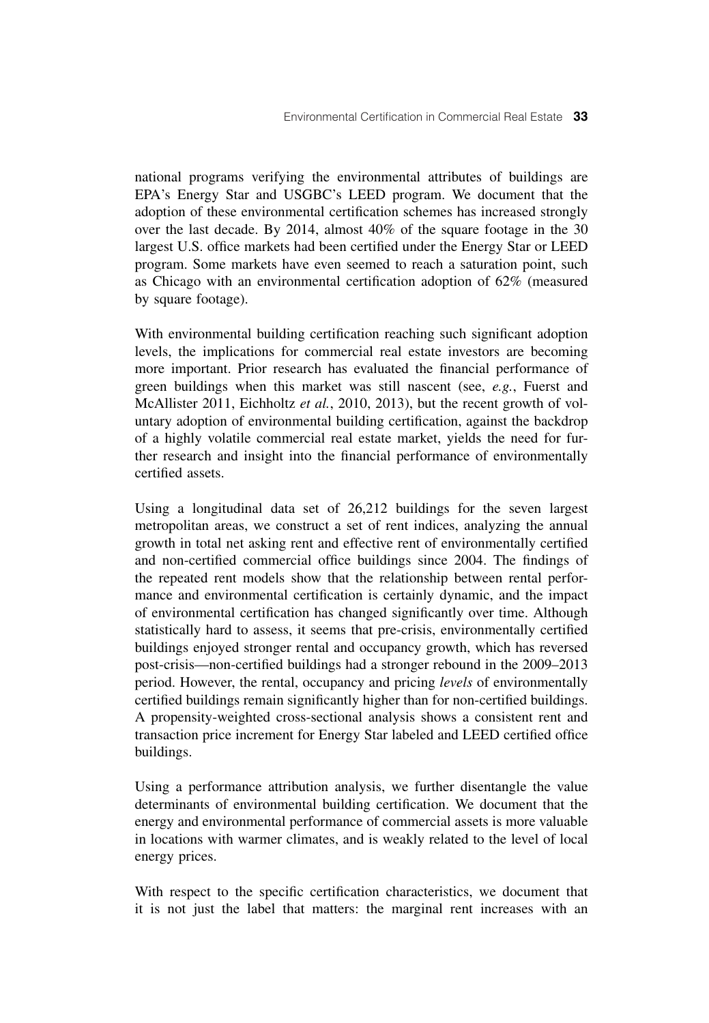national programs verifying the environmental attributes of buildings are EPA's Energy Star and USGBC's LEED program. We document that the adoption of these environmental certification schemes has increased strongly over the last decade. By 2014, almost 40% of the square footage in the 30 largest U.S. office markets had been certified under the Energy Star or LEED program. Some markets have even seemed to reach a saturation point, such as Chicago with an environmental certification adoption of 62% (measured by square footage).

With environmental building certification reaching such significant adoption levels, the implications for commercial real estate investors are becoming more important. Prior research has evaluated the financial performance of green buildings when this market was still nascent (see, *e.g.*, Fuerst and McAllister 2011, Eichholtz *et al.*, 2010, 2013), but the recent growth of voluntary adoption of environmental building certification, against the backdrop of a highly volatile commercial real estate market, yields the need for further research and insight into the financial performance of environmentally certified assets.

Using a longitudinal data set of 26,212 buildings for the seven largest metropolitan areas, we construct a set of rent indices, analyzing the annual growth in total net asking rent and effective rent of environmentally certified and non-certified commercial office buildings since 2004. The findings of the repeated rent models show that the relationship between rental performance and environmental certification is certainly dynamic, and the impact of environmental certification has changed significantly over time. Although statistically hard to assess, it seems that pre-crisis, environmentally certified buildings enjoyed stronger rental and occupancy growth, which has reversed post-crisis—non-certified buildings had a stronger rebound in the 2009–2013 period. However, the rental, occupancy and pricing *levels* of environmentally certified buildings remain significantly higher than for non-certified buildings. A propensity-weighted cross-sectional analysis shows a consistent rent and transaction price increment for Energy Star labeled and LEED certified office buildings.

Using a performance attribution analysis, we further disentangle the value determinants of environmental building certification. We document that the energy and environmental performance of commercial assets is more valuable in locations with warmer climates, and is weakly related to the level of local energy prices.

With respect to the specific certification characteristics, we document that it is not just the label that matters: the marginal rent increases with an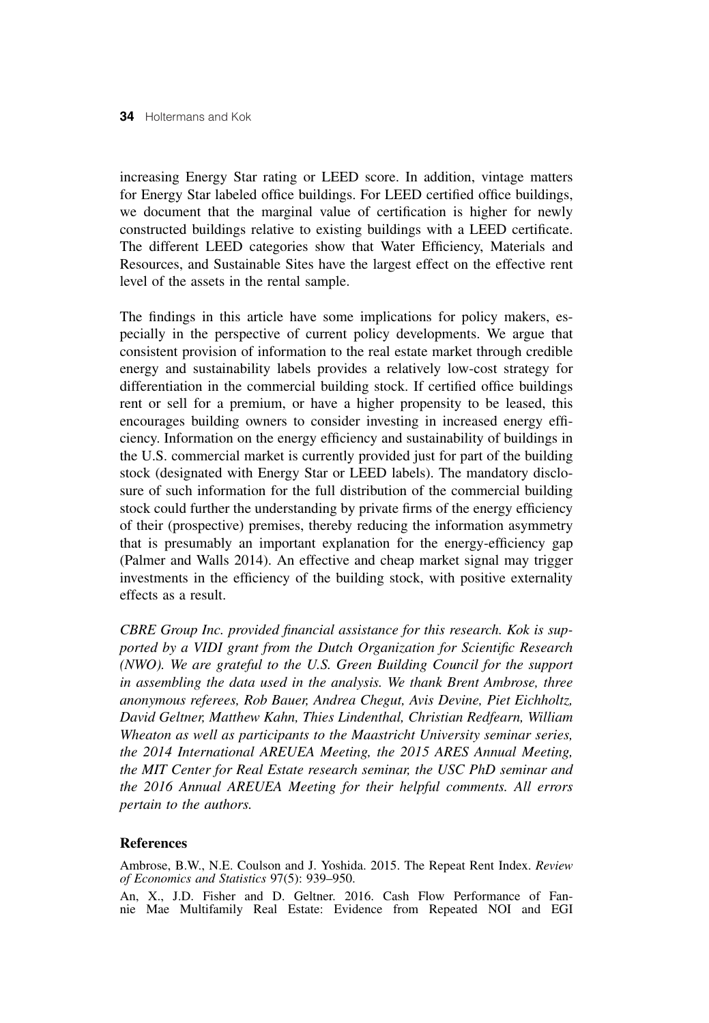increasing Energy Star rating or LEED score. In addition, vintage matters for Energy Star labeled office buildings. For LEED certified office buildings, we document that the marginal value of certification is higher for newly constructed buildings relative to existing buildings with a LEED certificate. The different LEED categories show that Water Efficiency, Materials and Resources, and Sustainable Sites have the largest effect on the effective rent level of the assets in the rental sample.

The findings in this article have some implications for policy makers, especially in the perspective of current policy developments. We argue that consistent provision of information to the real estate market through credible energy and sustainability labels provides a relatively low-cost strategy for differentiation in the commercial building stock. If certified office buildings rent or sell for a premium, or have a higher propensity to be leased, this encourages building owners to consider investing in increased energy efficiency. Information on the energy efficiency and sustainability of buildings in the U.S. commercial market is currently provided just for part of the building stock (designated with Energy Star or LEED labels). The mandatory disclosure of such information for the full distribution of the commercial building stock could further the understanding by private firms of the energy efficiency of their (prospective) premises, thereby reducing the information asymmetry that is presumably an important explanation for the energy-efficiency gap (Palmer and Walls 2014). An effective and cheap market signal may trigger investments in the efficiency of the building stock, with positive externality effects as a result.

*CBRE Group Inc. provided financial assistance for this research. Kok is supported by a VIDI grant from the Dutch Organization for Scientific Research (NWO). We are grateful to the U.S. Green Building Council for the support in assembling the data used in the analysis. We thank Brent Ambrose, three anonymous referees, Rob Bauer, Andrea Chegut, Avis Devine, Piet Eichholtz, David Geltner, Matthew Kahn, Thies Lindenthal, Christian Redfearn, William Wheaton as well as participants to the Maastricht University seminar series, the 2014 International AREUEA Meeting, the 2015 ARES Annual Meeting, the MIT Center for Real Estate research seminar, the USC PhD seminar and the 2016 Annual AREUEA Meeting for their helpful comments. All errors pertain to the authors.*

### **References**

Ambrose, B.W., N.E. Coulson and J. Yoshida. 2015. The Repeat Rent Index. *Review of Economics and Statistics* 97(5): 939–950.

An, X., J.D. Fisher and D. Geltner. 2016. Cash Flow Performance of Fannie Mae Multifamily Real Estate: Evidence from Repeated NOI and EGI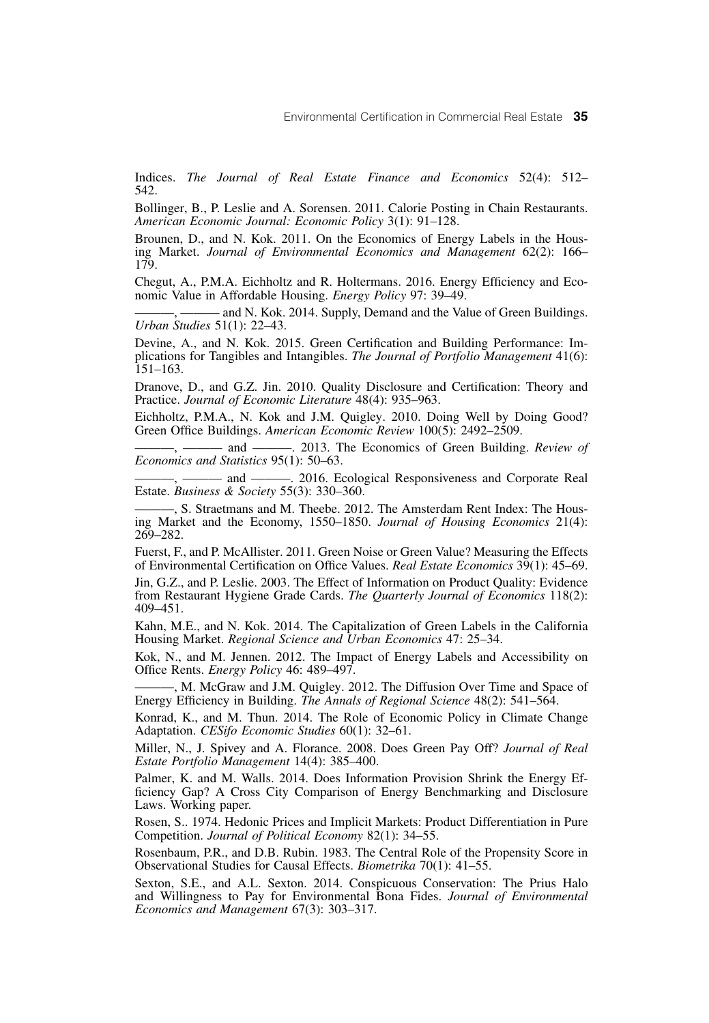Indices. *The Journal of Real Estate Finance and Economics* 52(4): 512– 542.

Bollinger, B., P. Leslie and A. Sorensen. 2011. Calorie Posting in Chain Restaurants. *American Economic Journal: Economic Policy* 3(1): 91–128.

Brounen, D., and N. Kok. 2011. On the Economics of Energy Labels in the Housing Market. *Journal of Environmental Economics and Management* 62(2): 166– 179.

Chegut, A., P.M.A. Eichholtz and R. Holtermans. 2016. Energy Efficiency and Economic Value in Affordable Housing. *Energy Policy* 97: 39–49.

- and N. Kok. 2014. Supply, Demand and the Value of Green Buildings. *Urban Studies* 51(1): 22–43.

Devine, A., and N. Kok. 2015. Green Certification and Building Performance: Implications for Tangibles and Intangibles. *The Journal of Portfolio Management* 41(6): 151–163.

Dranove, D., and G.Z. Jin. 2010. Quality Disclosure and Certification: Theory and Practice. *Journal of Economic Literature* 48(4): 935–963.

Eichholtz, P.M.A., N. Kok and J.M. Quigley. 2010. Doing Well by Doing Good? Green Office Buildings. *American Economic Review* 100(5): 2492–2509.

- and ———, 2013. The Economics of Green Building. *Review of Economics and Statistics* 95(1): 50–63.

- and ———, 2016. Ecological Responsiveness and Corporate Real Estate. *Business & Society* 55(3): 330–360.

———, S. Straetmans and M. Theebe. 2012. The Amsterdam Rent Index: The Housing Market and the Economy, 1550–1850. *Journal of Housing Economics* 21(4): 269–282.

Fuerst, F., and P. McAllister. 2011. Green Noise or Green Value? Measuring the Effects of Environmental Certification on Office Values. *Real Estate Economics* 39(1): 45–69.

Jin, G.Z., and P. Leslie. 2003. The Effect of Information on Product Quality: Evidence from Restaurant Hygiene Grade Cards. *The Quarterly Journal of Economics* 118(2): 409–451.

Kahn, M.E., and N. Kok. 2014. The Capitalization of Green Labels in the California Housing Market. *Regional Science and Urban Economics* 47: 25–34.

Kok, N., and M. Jennen. 2012. The Impact of Energy Labels and Accessibility on Office Rents. *Energy Policy* 46: 489–497.

-, M. McGraw and J.M. Quigley. 2012. The Diffusion Over Time and Space of Energy Efficiency in Building. *The Annals of Regional Science* 48(2): 541–564.

Konrad, K., and M. Thun. 2014. The Role of Economic Policy in Climate Change Adaptation. *CESifo Economic Studies* 60(1): 32–61.

Miller, N., J. Spivey and A. Florance. 2008. Does Green Pay Off? *Journal of Real Estate Portfolio Management* 14(4): 385–400.

Palmer, K. and M. Walls. 2014. Does Information Provision Shrink the Energy Efficiency Gap? A Cross City Comparison of Energy Benchmarking and Disclosure Laws. Working paper.

Rosen, S.. 1974. Hedonic Prices and Implicit Markets: Product Differentiation in Pure Competition. *Journal of Political Economy* 82(1): 34–55.

Rosenbaum, P.R., and D.B. Rubin. 1983. The Central Role of the Propensity Score in Observational Studies for Causal Effects. *Biometrika* 70(1): 41–55.

Sexton, S.E., and A.L. Sexton. 2014. Conspicuous Conservation: The Prius Halo and Willingness to Pay for Environmental Bona Fides. *Journal of Environmental Economics and Management* 67(3): 303–317.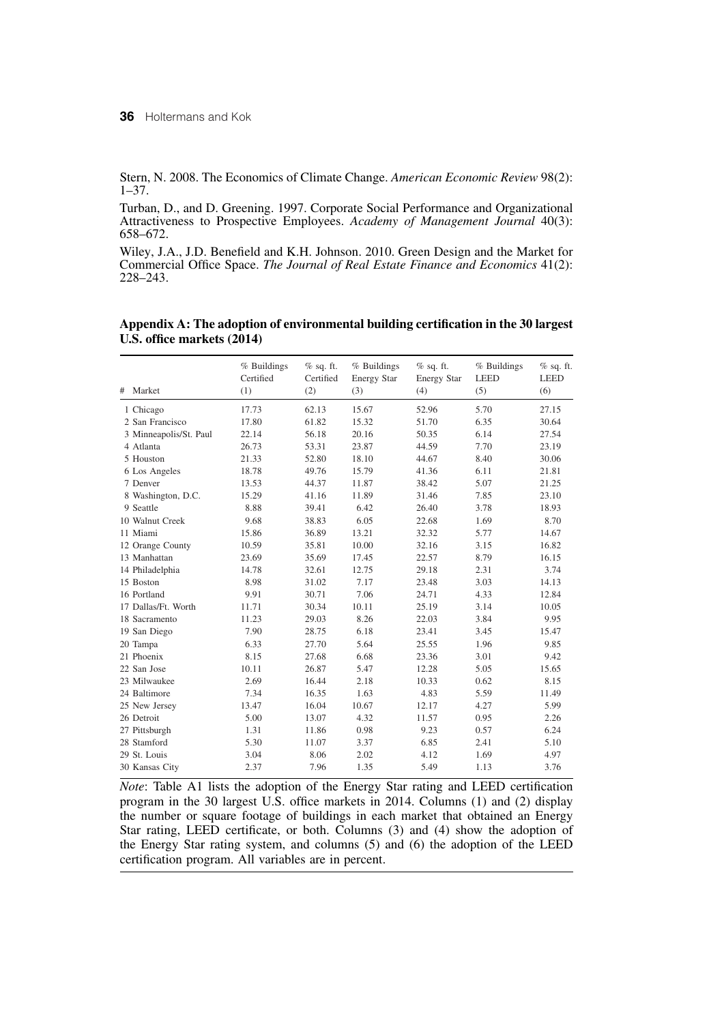Stern, N. 2008. The Economics of Climate Change. *American Economic Review* 98(2): 1–37.

Turban, D., and D. Greening. 1997. Corporate Social Performance and Organizational Attractiveness to Prospective Employees. *Academy of Management Journal* 40(3): 658–672.

Wiley, J.A., J.D. Benefield and K.H. Johnson. 2010. Green Design and the Market for Commercial Office Space. *The Journal of Real Estate Finance and Economics* 41(2): 228–243.

|                        | % Buildings<br>Certified | $%$ sq. ft.<br>Certified | % Buildings<br>Energy Star | $%$ sq. ft.<br>Energy Star | % Buildings<br><b>LEED</b> | $%$ sq. ft.<br><b>LEED</b> |
|------------------------|--------------------------|--------------------------|----------------------------|----------------------------|----------------------------|----------------------------|
| Market<br>#            | (1)                      | (2)                      | (3)                        | (4)                        | (5)                        | (6)                        |
| 1 Chicago              | 17.73                    | 62.13                    | 15.67                      | 52.96                      | 5.70                       | 27.15                      |
| 2 San Francisco        | 17.80                    | 61.82                    | 15.32                      | 51.70                      | 6.35                       | 30.64                      |
| 3 Minneapolis/St. Paul | 22.14                    | 56.18                    | 20.16                      | 50.35                      | 6.14                       | 27.54                      |
| 4 Atlanta              | 26.73                    | 53.31                    | 23.87                      | 44.59                      | 7.70                       | 23.19                      |
| 5 Houston              | 21.33                    | 52.80                    | 18.10                      | 44.67                      | 8.40                       | 30.06                      |
| 6 Los Angeles          | 18.78                    | 49.76                    | 15.79                      | 41.36                      | 6.11                       | 21.81                      |
| 7 Denver               | 13.53                    | 44.37                    | 11.87                      | 38.42                      | 5.07                       | 21.25                      |
| 8 Washington, D.C.     | 15.29                    | 41.16                    | 11.89                      | 31.46                      | 7.85                       | 23.10                      |
| 9 Seattle              | 8.88                     | 39.41                    | 6.42                       | 26.40                      | 3.78                       | 18.93                      |
| 10 Walnut Creek        | 9.68                     | 38.83                    | 6.05                       | 22.68                      | 1.69                       | 8.70                       |
| 11 Miami               | 15.86                    | 36.89                    | 13.21                      | 32.32                      | 5.77                       | 14.67                      |
| 12 Orange County       | 10.59                    | 35.81                    | 10.00                      | 32.16                      | 3.15                       | 16.82                      |
| 13 Manhattan           | 23.69                    | 35.69                    | 17.45                      | 22.57                      | 8.79                       | 16.15                      |
| 14 Philadelphia        | 14.78                    | 32.61                    | 12.75                      | 29.18                      | 2.31                       | 3.74                       |
| 15 Boston              | 8.98                     | 31.02                    | 7.17                       | 23.48                      | 3.03                       | 14.13                      |
| 16 Portland            | 9.91                     | 30.71                    | 7.06                       | 24.71                      | 4.33                       | 12.84                      |
| 17 Dallas/Ft. Worth    | 11.71                    | 30.34                    | 10.11                      | 25.19                      | 3.14                       | 10.05                      |
| 18 Sacramento          | 11.23                    | 29.03                    | 8.26                       | 22.03                      | 3.84                       | 9.95                       |
| 19 San Diego           | 7.90                     | 28.75                    | 6.18                       | 23.41                      | 3.45                       | 15.47                      |
| 20 Tampa               | 6.33                     | 27.70                    | 5.64                       | 25.55                      | 1.96                       | 9.85                       |
| 21 Phoenix             | 8.15                     | 27.68                    | 6.68                       | 23.36                      | 3.01                       | 9.42                       |
| 22 San Jose            | 10.11                    | 26.87                    | 5.47                       | 12.28                      | 5.05                       | 15.65                      |
| 23 Milwaukee           | 2.69                     | 16.44                    | 2.18                       | 10.33                      | 0.62                       | 8.15                       |
| 24 Baltimore           | 7.34                     | 16.35                    | 1.63                       | 4.83                       | 5.59                       | 11.49                      |
| 25 New Jersey          | 13.47                    | 16.04                    | 10.67                      | 12.17                      | 4.27                       | 5.99                       |
| 26 Detroit             | 5.00                     | 13.07                    | 4.32                       | 11.57                      | 0.95                       | 2.26                       |
| 27 Pittsburgh          | 1.31                     | 11.86                    | 0.98                       | 9.23                       | 0.57                       | 6.24                       |
| 28 Stamford            | 5.30                     | 11.07                    | 3.37                       | 6.85                       | 2.41                       | 5.10                       |
| 29 St. Louis           | 3.04                     | 8.06                     | 2.02                       | 4.12                       | 1.69                       | 4.97                       |
| 30 Kansas City         | 2.37                     | 7.96                     | 1.35                       | 5.49                       | 1.13                       | 3.76                       |

**Appendix A: The adoption of environmental building certification in the 30 largest U.S. office markets (2014)**

*Note*: Table A1 lists the adoption of the Energy Star rating and LEED certification program in the 30 largest U.S. office markets in 2014. Columns (1) and (2) display the number or square footage of buildings in each market that obtained an Energy Star rating, LEED certificate, or both. Columns (3) and (4) show the adoption of the Energy Star rating system, and columns (5) and (6) the adoption of the LEED certification program. All variables are in percent.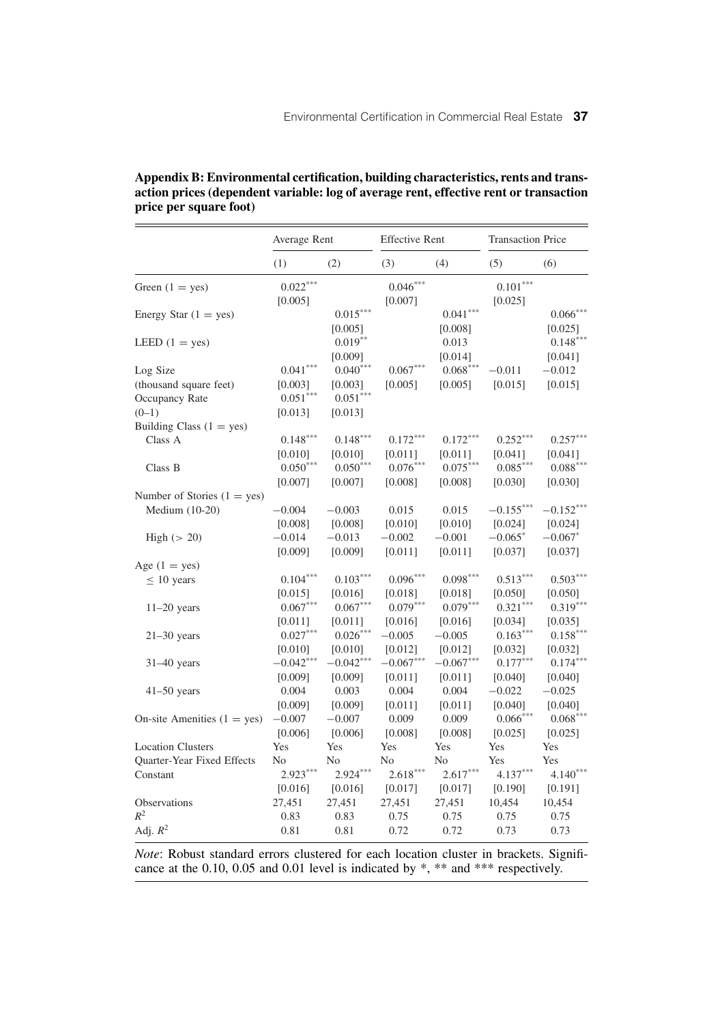|                               | Average Rent           |                       | <b>Effective Rent</b> |                       | <b>Transaction Price</b> |                                   |  |
|-------------------------------|------------------------|-----------------------|-----------------------|-----------------------|--------------------------|-----------------------------------|--|
|                               | (1)                    | (2)                   | (3)                   | (4)                   | (5)                      | (6)                               |  |
| Green $(1 = yes)$             | $0.022***$<br>[0.005]  |                       | $0.046***$<br>[0.007] |                       | $0.101***$<br>[0.025]    |                                   |  |
| Energy Star $(1 = yes)$       |                        | $0.015***$<br>[0.005] |                       | $0.041***$<br>[0.008] |                          | $0.066^{\ast\ast\ast}$<br>[0.025] |  |
| LEED $(1 = yes)$              |                        | $0.019***$<br>[0.009] |                       | 0.013<br>[0.014]      |                          | $0.148***$<br>[0.041]             |  |
| Log Size                      | $0.041^{\ast\ast\ast}$ | $0.040***$            | $0.067***$            | $0.068***$            | $-0.011$                 | $-0.012$                          |  |
| (thousand square feet)        | [0.003]                | [0.003]               | [0.005]               | [0.005]               | [0.015]                  | [0.015]                           |  |
| Occupancy Rate                | $0.051^{***}$          | $0.051***$            |                       |                       |                          |                                   |  |
| $(0-1)$                       | [0.013]                | [0.013]               |                       |                       |                          |                                   |  |
| Building Class $(1 = yes)$    |                        |                       |                       |                       |                          |                                   |  |
| Class A                       | $0.148***$             | $0.148***$            | $0.172***$            | $0.172***$            | $0.252***$               | $0.257***$                        |  |
|                               | [0.010]                | [0.010]               | [0.011]               | [0.011]               | [0.041]                  | [0.041]                           |  |
| Class B                       | $0.050***$             | $0.050***$            | $0.076***$            | $0.075***$            | $0.085***$               | $0.088***$                        |  |
|                               | [0.007]                | [0.007]               | [0.008]               | [0.008]               | [0.030]                  | [0.030]                           |  |
| Number of Stories $(1 = yes)$ |                        |                       |                       |                       |                          |                                   |  |
| Medium (10-20)                | $-0.004$               | $-0.003$              | 0.015                 | 0.015                 | $-0.155***$              | $-0.152***$                       |  |
|                               | [0.008]                | [0.008]               | [0.010]               | [0.010]               | [0.024]                  | [0.024]                           |  |
| High $(> 20)$                 | $-0.014$               | $-0.013$              | $-0.002$              | $-0.001$              | $-0.065*$                | $-0.067*$                         |  |
|                               | [0.009]                | [0.009]               | [0.011]               | [0.011]               | [0.037]                  | [0.037]                           |  |
| Age $(1 = yes)$               |                        |                       |                       |                       |                          |                                   |  |
| $\leq 10$ years               | $0.104***$             | $0.103***$            | $0.096***$            | $0.098***$            | $0.513***$               | $0.503***$                        |  |
|                               | [0.015]                | [0.016]               | [0.018]               | [0.018]               | [0.050]                  | [0.050]                           |  |
| $11-20$ years                 | $0.067***$             | $0.067***$            | $0.079***$            | $0.079***$            | $0.321***$               | $0.319***$                        |  |
|                               | [0.011]                | [0.011]               | [0.016]               | [0.016]               | [0.034]                  | [0.035]                           |  |
| $21-30$ years                 | $0.027***$             | $0.026***$            | $-0.005$              | $-0.005$              | $0.163***$               | $0.158***$                        |  |
|                               | [0.010]                | [0.010]               | [0.012]               | [0.012]               | [0.032]                  | [0.032]                           |  |
| $31-40$ years                 | $-0.042***$            | $-0.042***$           | $-0.067***$           | $-0.067***$           | $0.177***$               | $0.174***$                        |  |
|                               | [0.009]                | [0.009]               | [0.011]               | [0.011]               | [0.040]                  | [0.040]                           |  |
| $41-50$ years                 | 0.004                  | 0.003                 | 0.004                 | 0.004                 | $-0.022$                 | $-0.025$                          |  |
|                               | [0.009]                | [0.009]               | [0.011]               | [0.011]               | [0.040]                  | [0.040]                           |  |
| On-site Amenities $(1 = yes)$ | $-0.007$               | $-0.007$              | 0.009                 | 0.009                 | $0.066^{\ast\ast\ast}$   | $0.068***$                        |  |
|                               | [0.006]                | [0.006]               | [0.008]               | [0.008]               | [0.025]                  | [0.025]                           |  |
| <b>Location Clusters</b>      | Yes                    | Yes                   | Yes                   | Yes                   | Yes                      | Yes                               |  |
| Quarter-Year Fixed Effects    | N <sub>o</sub>         | No                    | No                    | No                    | Yes                      | Yes                               |  |
| Constant                      | $2.923***$             | $2.924***$            | $2.618***$            | $2.617***$            | $4.137***$               | $4.140***$                        |  |
|                               | [0.016]                | [0.016]               | [0.017]               | [0.017]               | [0.190]                  | [0.191]                           |  |
| Observations                  | 27,451                 | 27,451                | 27,451                | 27,451                | 10,454                   | 10,454                            |  |
| $R^2$                         | 0.83                   | 0.83                  | 0.75                  | 0.75                  | 0.75                     | 0.75                              |  |
| Adj. $R^2$                    | 0.81                   | 0.81                  | 0.72                  | 0.72                  | 0.73                     | 0.73                              |  |

| Appendix B: Environmental certification, building characteristics, rents and trans-   |
|---------------------------------------------------------------------------------------|
| action prices (dependent variable: log of average rent, effective rent or transaction |
| price per square foot)                                                                |

*Note*: Robust standard errors clustered for each location cluster in brackets. Significance at the 0.10, 0.05 and 0.01 level is indicated by \*, \*\* and \*\*\* respectively.